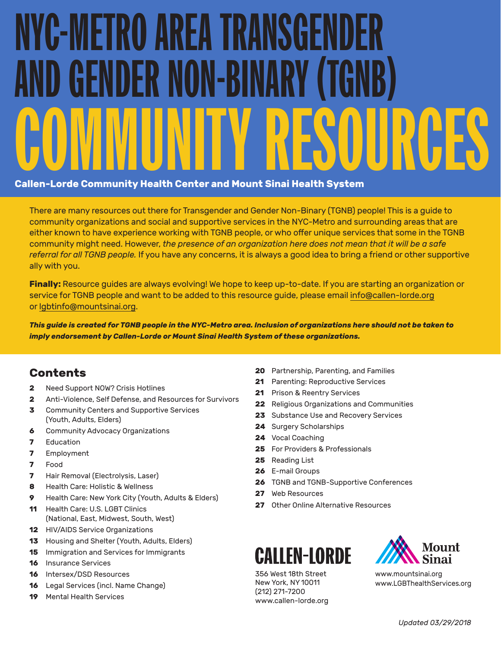# NYC-METRO AREA TRANSGEI D GENDER NON-BINARY COMMUNITY RESOURCES **Callen-Lorde Community Health Center and Mount Sinai Health System**

There are many resources out there for Transgender and Gender Non-Binary (TGNB) people! This is a guide to community organizations and social and supportive services in the NYC-Metro and surrounding areas that are either known to have experience working with TGNB people, or who offer unique services that some in the TGNB community might need. However, *the presence of an organization here does not mean that it will be a safe referral for all TGNB people.* If you have any concerns, it is always a good idea to bring a friend or other supportive ally with you.

**Finally:** Resource guides are always evolving! We hope to keep up-to-date. If you are starting an organization or service for TGNB people and want to be added to this resource guide, please email [info@callen-lorde.org](mailto:info%40callen-lorde.org?subject=) or [lgbtinfo@mountsinai.org.](mailto:lgbtinfo%40mountsinai.org?subject=)

*This guide is created for TGNB people in the NYC-Metro area. Inclusion of organizations here should not be taken to imply endorsement by Callen-Lorde or Mount Sinai Health System of these organizations.*

## **Contents**

- **2** [Need Support NOW? Crisis Hotlines](#page-1-0)
- **2** [Anti-Violence, Self Defense, and Resources for Survivors](#page-1-0)
- **3** [Community Centers and Supportive Services](#page-2-0)  [\(Youth, Adults, Elders\)](#page-2-0)
- **6** [Community Advocacy Organizations](#page-5-0)
- **7** [Education](#page-6-0)
- **7** [Employment](#page-6-0)
- **7** [Food](#page-6-0)
- **7** [Hair Removal \(Electrolysis, Laser\)](#page-6-0)
- **8** [Health Care: Holistic & Wellness](#page-7-0)
- **9** [Health Care: New York City \(Youth, Adults & Elders\)](#page-8-0)
- **11** [Health Care: U.S. LGBT Clinics](#page-10-0)  [\(National, East, Midwest, South, West\)](#page-10-0)
- **12** [HIV/AIDS Service Organizations](#page-11-0)
- **13** [Housing and Shelter \(Youth, Adults, Elders\)](#page-12-0)
- **15** [Immigration and Services for Immigrants](#page-14-0)
- **16** [Insurance Services](#page-15-0)
- **16** [Intersex/DSD Resources](#page-15-0)
- **16** [Legal Services \(incl. Name Change\)](#page-15-0)
- **19** [Mental Health Services](#page-18-0)
- **20** [Partnership, Parenting, and Families](#page-19-0)
- **21** [Parenting: Reproductive Services](#page-20-0)
- **21** [Prison & Reentry Services](#page-20-0)
- **22** [Religious Organizations and Communities](#page-21-0)
- **23** [Substance Use and Recovery Services](#page-22-0)
- **24** [Surgery Scholarships](#page-23-0)
- **24** [Vocal Coaching](#page-23-0)
- **25** [For Providers & Professionals](#page-24-0)
- **25** [Reading List](#page-24-0)
- **26** [E-mail Groups](#page-25-0)
- **26** [TGNB and TGNB-Supportive Conferences](#page-25-0)
- **27** [Web Resources](#page-26-0)
- **27** [Other Online Alternative Resources](#page-26-0)

## **CALLEN-LORDE**

356 West 18th Street New York, NY 10011 (212) 271-7200 [www.callen-lorde.org](http://www.callen-lorde.org/)



[www.mountsinai.org](http://www.mountsinai.org/) [www.LGBThealthServices.org](http://www.LGBThealthServices.org/)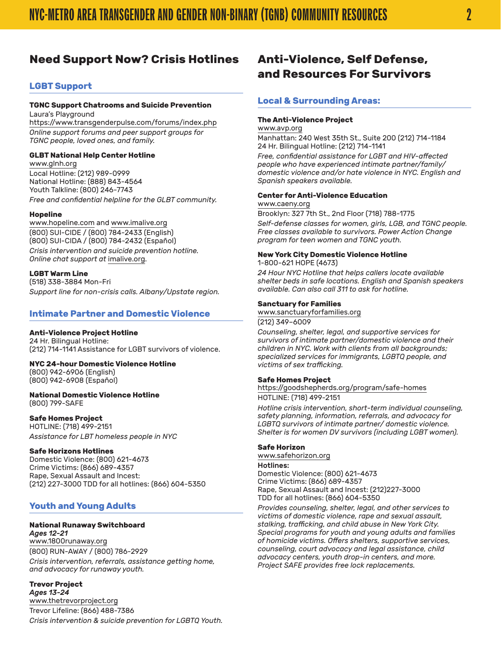## <span id="page-1-0"></span>**Need Support Now? Crisis Hotlines**

#### **LGBT Support**

#### **TGNC Support Chatrooms and Suicide Prevention** Laura's Playground

<https://www.transgenderpulse.com/forums/index.php> *Online support forums and peer support groups for TGNC people, loved ones, and family.*

#### **GLBT National Help Center Hotline**

[www.glnh.org](http://www.glnh.org/) Local Hotline: (212) 989-0999 National Hotline: (888) 843-4564 Youth Talkline: (800) 246-7743 *Free and confidential helpline for the GLBT community.*

#### **Hopeline**

[www.hopeline.com](http://www.hopeline.com/) and [www.imalive.org](http://www.imalive.org) (800) SUI-CIDE / (800) 784-2433 (English) (800) SUI-CIDA / (800) 784-2432 (Español) *Crisis intervention and suicide prevention hotline. Online chat support at* [imalive.org.](http://www.imalive.org/)

#### **LGBT Warm Line**

(518) 338-3884 Mon-Fri *Support line for non-crisis calls. Albany/Upstate region.*

#### **Intimate Partner and Domestic Violence**

#### **Anti-Violence Project Hotline**

24 Hr. Bilingual Hotline: (212) 714-1141 Assistance for LGBT survivors of violence.

#### **NYC 24-hour Domestic Violence Hotline**

(800) 942-6906 (English) (800) 942-6908 (Español)

**National Domestic Violence Hotline** (800) 799-SAFE

#### **Safe Homes Project**

HOTLINE: (718) 499-2151 *Assistance for LBT homeless people in NYC*

#### **Safe Horizons Hotlines**

Domestic Violence: (800) 621-4673 Crime Victims: (866) 689-4357 Rape, Sexual Assault and Incest: (212) 227-3000 TDD for all hotlines: (866) 604-5350

#### **Youth and Young Adults**

#### **National Runaway Switchboard**

*Ages 12-21*  [www.1800runaway.org](http://www.1800runaway.org/) (800) RUN-AWAY / (800) 786-2929 *Crisis intervention, referrals, assistance getting home, and advocacy for runaway youth.*

**Trevor Project** *Ages 13-24*  [www.thetrevorproject.org](http://www.thetrevorproject.org/) Trevor Lifeline: (866) 488-7386 *Crisis intervention & suicide prevention for LGBTQ Youth.*

## **Anti-Violence, Self Defense, and Resources For Survivors**

#### **Local & Surrounding Areas:**

#### **The Anti-Violence Project**

[www.avp.org](http://www.avp.org/)

Manhattan: 240 West 35th St., Suite 200 (212) 714-1184 24 Hr. Bilingual Hotline: (212) 714-1141

*Free, confidential assistance for LGBT and HIV-affected people who have experienced intimate partner/family/ domestic violence and/or hate violence in NYC. English and Spanish speakers available.*

#### **Center for Anti-Violence Education**

#### [www.caeny.org](http://www.caeny.org/)

Brooklyn: 327 7th St., 2nd Floor (718) 788-1775

*Self-defense classes for women, girls, LGB, and TGNC people. Free classes available to survivors. Power Action Change program for teen women and TGNC youth.*

#### **New York City Domestic Violence Hotline**

1-800-621 HOPE (4673)

*24 Hour NYC Hotline that helps callers locate available shelter beds in safe locations. English and Spanish speakers available. Can also call 311 to ask for hotline.*

#### **Sanctuary for Families**

[www.sanctuaryforfamilies.org](http://www.sanctuaryforfamilies.org/) (212) 349–6009

*Counseling, shelter, legal, and supportive services for survivors of intimate partner/domestic violence and their children in NYC. Work with clients from all backgrounds; specialized services for immigrants, LGBTQ people, and victims of sex trafficking.*

#### **Safe Homes Project**

[https://goodshepherds.org/program/safe-homes](https://goodshepherds.org/program/safe-homes/)

#### HOTLINE: (718) 499-2151

*Hotline crisis intervention, short-term individual counseling, safety planning, information, referrals, and advocacy for LGBTQ survivors of intimate partner/ domestic violence. Shelter is for women DV survivors (including LGBT women).*

#### **Safe Horizon**

[www.safehorizon.org](http://www.safehorizon.org/) Hotlines:

Domestic Violence: (800) 621-4673 Crime Victims: (866) 689-4357 Rape, Sexual Assault and Incest: (212)227-3000 TDD for all hotlines: (866) 604-5350

*Provides counseling, shelter, legal, and other services to victims of domestic violence, rape and sexual assault, stalking, trafficking, and child abuse in New York City. Special programs for youth and young adults and families of homicide victims. Offers shelters, supportive services, counseling, court advocacy and legal assistance, child advocacy centers, youth drop-in centers, and more. Project SAFE provides free lock replacements.*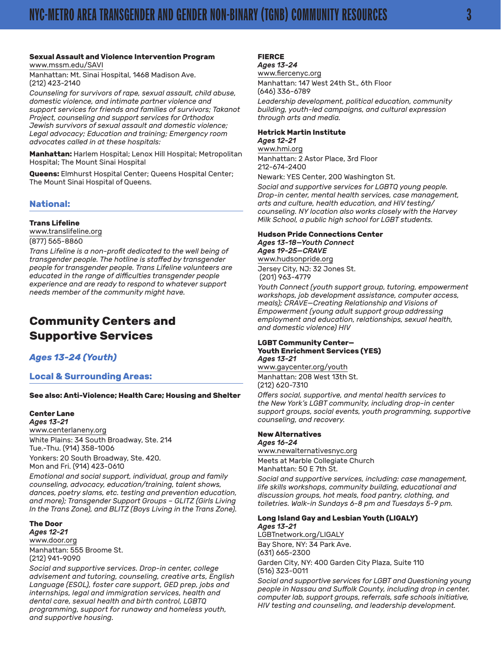#### <span id="page-2-0"></span>**Sexual Assault and Violence Intervention Program** [www.mssm.edu/SAVI](http://www.mssm.edu/SAVI/)

Manhattan: Mt. Sinai Hospital, 1468 Madison Ave. (212) 423-2140

*Counseling for survivors of rape, sexual assault, child abuse, domestic violence, and intimate partner violence and support services for friends and families of survivors; Takanot Project, counseling and support services for Orthodox Jewish survivors of sexual assault and domestic violence; Legal advocacy; Education and training; Emergency room advocates called in at these hospitals:*

**Manhattan:** Harlem Hospital; Lenox Hill Hospital; Metropolitan Hospital; The Mount Sinai Hospital

**Queens:** Elmhurst Hospital Center; Queens Hospital Center; The Mount Sinai Hospital of Queens.

#### **National:**

#### **Trans Lifeline**

[www.translifeline.org](http://www.translifeline.org/) (877) 565-8860

*Trans Lifeline is a non-profit dedicated to the well being of transgender people. The hotline is staffed by transgender people for transgender people. Trans Lifeline volunteers are educated in the range of difficulties transgender people experience and are ready to respond to whatever support needs member of the community might have.*

## **Community Centers and Supportive Services**

#### *Ages 13-24 (Youth)*

#### **Local & Surrounding Areas:**

#### **See also: Anti-Violence; Health Care; Housing and Shelter**

#### **Center Lane**

*Ages 13-21* [www.centerlaneny.org](http://www.centerlaneny.org/) White Plains: 34 South Broadway, Ste. 214 Tue.-Thu. (914) 358-1006 Yonkers: 20 South Broadway, Ste. 420. Mon and Fri. (914) 423-0610

*Emotional and social support, individual, group and family counseling, advocacy, education/training, talent shows, dances, poetry slams, etc. testing and prevention education, and more); Transgender Support Groups – GLITZ (Girls Living In the Trans Zone), and BLITZ (Boys Living in the Trans Zone).*

#### **The Door**  *Ages 12-21*

[www.door.org](http://www.door.org/) Manhattan: 555 Broome St. (212) 941-9090

*Social and supportive services. Drop-in center, college advisement and tutoring, counseling, creative arts, English Language (ESOL), foster care support, GED prep, jobs and internships, legal and immigration services, health and dental care, sexual health and birth control, LGBTQ programming, support for runaway and homeless youth, and supportive housing.*

#### **FIERCE** *Ages 13-24*

[www.fiercenyc.org](http://www.fiercenyc.org/) Manhattan: 147 West 24th St., 6th Floor (646) 336-6789

*Leadership development, political education, community building, youth-led campaigns, and cultural expression through arts and media.*

#### **Hetrick Martin Institute**

*Ages 12-21*  [www.hmi.org](http://www.hmi.org/) Manhattan: 2 Astor Place, 3rd Floor 212-674-2400

Newark: YES Center, 200 Washington St.

*Social and supportive services for LGBTQ young people. Drop-in center, mental health services, case management, arts and culture, health education, and HIV testing/ counseling. NY location also works closely with the Harvey Milk School, a public high school for LGBT students.*

#### **Hudson Pride Connections Center** *Ages 13-18—Youth Connect Ages 19-25—CRAVE* [www.hudsonpride.org](http://hudsonpride.org/)

Jersey City, NJ: 32 Jones St. (201) 963-4779

*Youth Connect (youth support group, tutoring, empowerment workshops, job development assistance, computer access, meals); CRAVE—Creating Relationship and Visions of Empowerment (young adult support group addressing employment and education, relationships, sexual health, and domestic violence) HIV*

#### **LGBT Community Center— Youth Enrichment Services (YES)** *Ages 13-21*

[www.gaycenter.org/youth](http://www.gaycenter.org/youth) Manhattan: 208 West 13th St. (212) 620-7310

*Offers social, supportive, and mental health services to the New York's LGBT community, including drop-in center support groups, social events, youth programming, supportive counseling, and recovery.*

#### **New Alternatives**

*Ages 16-24* [www.newalternativesnyc.org](http://www.newalternativesnyc.org/) Meets at Marble Collegiate Church Manhattan: 50 E 7th St.

*Social and supportive services, including: case management, life skills workshops, community building, educational and discussion groups, hot meals, food pantry, clothing, and toiletries. Walk-in Sundays 6-8 pm and Tuesdays 5-9 pm.*

#### **Long Island Gay and Lesbian Youth (LIGALY)** *Ages 13-21*

[LGBTnetwork.org/LIGALY](http://LGBTnetwork.org/LIGALY) Bay Shore, NY: 34 Park Ave. (631) 665-2300 Garden City, NY: 400 Garden City Plaza, Suite 110 (516) 323-0011

*Social and supportive services for LGBT and Questioning young people in Nassau and Suffolk County, including drop in center, computer lab, support groups, referrals, safe schools initiative, HIV testing and counseling, and leadership development.*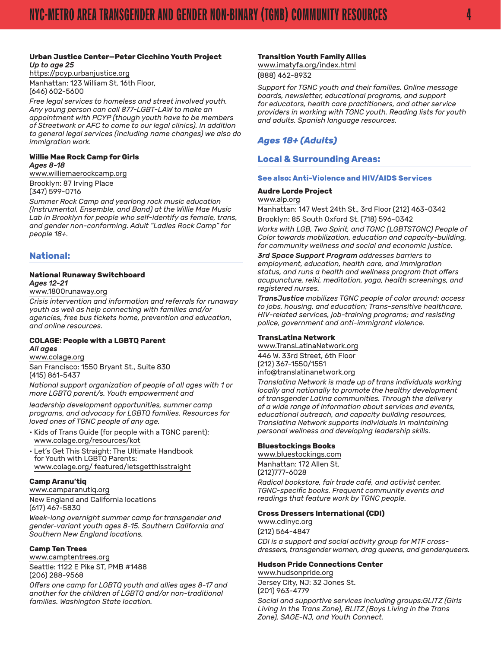#### **Urban Justice Center—Peter Cicchino Youth Project**  *Up to age 25*

https://pcyp.urbanjustice.org Manhattan: 123 William St. 16th Floor, (646) 602-5600

*Free legal services to homeless and street involved youth. Any young person can call 877-LGBT-LAW to make an appointment with PCYP (though youth have to be members of Streetwork or AFC to come to our legal clinics). In addition to general legal services (including name changes) we also do immigration work.*

#### **Willie Mae Rock Camp for Girls**  *Ages 8-18*

[www.williemaerockcamp.org](http://williemaerockcamp.org/) Brooklyn: 87 Irving Place (347) 599-0716

*Summer Rock Camp and yearlong rock music education (Instrumental, Ensemble, and Band) at the Willie Mae Music Lab in Brooklyn for people who self-identify as female, trans, and gender non-conforming. Adult "Ladies Rock Camp" for people 18+.*

#### **National:**

#### **National Runaway Switchboard**  *Ages 12-21*

#### [www.1800runaway.org](http://www.1800runaway.org/)

*Crisis intervention and information and referrals for runaway youth as well as help connecting with families and/or agencies, free bus tickets home, prevention and education, and online resources.*

#### **COLAGE: People with a LGBTQ Parent** *All ages*

[www.colage.org](http://www.colage.org/) San Francisco: 1550 Bryant St., Suite 830 (415) 861-5437

*National support organization of people of all ages with 1 or more LGBTQ parent/s. Youth empowerment and*

*leadership development opportunities, summer camp programs, and advocacy for LGBTQ families. Resources for loved ones of TGNC people of any age.*

- Kids of Trans Guide (for people with a TGNC parent): [www.colage.org/resources/kot](http://www.colage.org/resources/kot/)
- Let's Get This Straight: The Ultimate Handbook for Youth with LGBTQ Parents: [www.colage.org/ featured/letsgetthisstraight](http://www.colage.org/featured/letsgetthisstraight/)

#### **Camp Aranu'tiq**

[www.camparanutiq.org](http://www.camparanutiq.org/) New England and California locations (617) 467-5830

*Week-long overnight summer camp for transgender and gender-variant youth ages 8-15. Southern California and Southern New England locations.*

#### **Camp Ten Trees**

[www.camptentrees.org](http://www.camptentrees.org/) Seattle: 1122 E Pike ST, PMB #1488 (206) 288-9568

*Offers one camp for LGBTQ youth and allies ages 8-17 and another for the children of LGBTQ and/or non-traditional families. Washington State location.*

#### **Transition Youth Family Allies**

[www.imatyfa.org/index.html](http://imatyfa.org/index.html)

(888) 462-8932

*Support for TGNC youth and their families. Online message boards, newsletter, educational programs, and support for educators, health care practitioners, and other service providers in working with TGNC youth. Reading lists for youth and adults. Spanish language resources.*

### *Ages 18+ (Adults)*

#### **Local & Surrounding Areas:**

#### **See also: Anti-Violence and HIV/AIDS Services**

#### **Audre Lorde Project**

[www.alp.org](http://alp.org/)

Manhattan: 147 West 24th St., 3rd Floor (212) 463-0342

Brooklyn: 85 South Oxford St. (718) 596-0342 *Works with LGB, Two Spirit, and TGNC (LGBTSTGNC) People of Color towards mobilization, education and capacity-building,* 

*for community wellness and social and economic justice.*

*3rd Space Support Program addresses barriers to employment, education, health care, and immigration status, and runs a health and wellness program that offers acupuncture, reiki, meditation, yoga, health screenings, and registered nurses.*

*TransJustice mobilizes TGNC people of color around: access to jobs, housing, and education; Trans-sensitive healthcare, HIV-related services, job-training programs; and resisting police, government and anti-immigrant violence.*

#### **TransLatina Network**

[www.TransLatinaNetwork.org](http://www.TransLatinaNetwork.org/) 446 W. 33rd Street, 6th Floor (212) 367-1550/1551 [info@translatinanetwork.org](mailto:info@translatinanetwork.org)

*Translatina Network is made up of trans individuals working locally and nationally to promote the healthy development of transgender Latina communities. Through the delivery of a wide range of information about services and events, educational outreach, and capacity building resources, Translatina Network supports individuals in maintaining personal wellness and developing leadership skills.*

#### **Bluestockings Books**

[www.bluestockings.com](http://www.bluestockings.com/) Manhattan: 172 Allen St. (212)777-6028

*Radical bookstore, fair trade café, and activist center. TGNC-specific books. Frequent community events and readings that feature work by TGNC people.*

#### **Cross Dressers International (CDI)**

[www.cdinyc.org](http://www.cdinyc.org) (212) 564-4847

*CDI is a support and social activity group for MTF crossdressers, transgender women, drag queens, and genderqueers.*

#### **Hudson Pride Connections Center**

[www.hudsonpride.org](http://hudsonpride.org/) Jersey City, NJ: 32 Jones St. (201) 963-4779

*Social and supportive services including groups:GLITZ (Girls Living In the Trans Zone), BLITZ (Boys Living in the Trans Zone), SAGE-NJ, and Youth Connect.*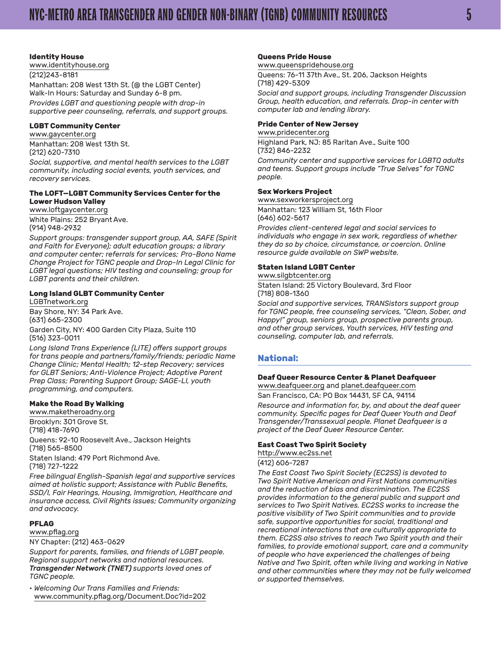#### **Identity House**

[www.identityhouse.org](http://www.identityhouse.org/) (212)243-8181 Manhattan: 208 West 13th St. (@ the LGBT Center) Walk-In Hours: Saturday and Sunday 6-8 pm. *Provides LGBT and questioning people with drop-in supportive peer counseling, referrals, and support groups.*

#### **LGBT Community Center**

[www.gaycenter.org](http://www.gaycenter.org/) Manhattan: 208 West 13th St. (212) 620-7310

*Social, supportive, and mental health services to the LGBT community, including social events, youth services, and recovery services.*

#### **The LOFT—LGBT Community Services Center for the Lower Hudson Valley**

[www.loftgaycenter.org](http://www.loftgaycenter.org/) White Plains: 252 Bryant Ave. (914) 948-2932

*Support groups: transgender support group, AA, SAFE (Spirit and Faith for Everyone); adult education groups; a library and computer center; referrals for services; Pro-Bono Name Change Project for TGNC people and Drop-In Legal Clinic for LGBT legal questions; HIV testing and counseling; group for LGBT parents and their children.*

#### **Long Island GLBT Community Center**

[LGBTnetwork.org](http://LGBTnetwork.org) Bay Shore, NY: 34 Park Ave. (631) 665-2300

Garden City, NY: 400 Garden City Plaza, Suite 110 (516) 323-0011

*Long Island Trans Experience (LITE) offers support groups for trans people and partners/family/friends; periodic Name Change Clinic; Mental Health; 12-step Recovery; services for GLBT Seniors; Anti-Violence Project; Adoptive Parent Prep Class; Parenting Support Group; SAGE-LI, youth programming, and computers.*

## **Make the Road By Walking**

[www.maketheroadny.org](http://www.maketheroadny.org/) Brooklyn: 301 Grove St. (718) 418-7690

Queens: 92-10 Roosevelt Ave., Jackson Heights (718) 565-8500

Staten Island: 479 Port Richmond Ave. (718) 727-1222

*Free bilingual English-Spanish legal and supportive services aimed at holistic support; Assistance with Public Benefits, SSD/I, Fair Hearings, Housing, Immigration, Healthcare and insurance access, Civil Rights issues; Community organizing and advocacy.*

#### **PFLAG**

[www.pflag.org](http://www.pflag.org/)

NY Chapter: (212) 463-0629

*Support for parents, families, and friends of LGBT people. Regional support networks and national resources. Transgender Network (TNET) supports loved ones of TGNC people.*

*• Welcoming Our Trans Families and Friends:* [www.community.pflag.org/Document.Doc?id=202](http://www.community.pflag.org/Document.Doc?id=202)

#### **Queens Pride House**

#### [www.queenspridehouse.org](http://www.queenspridehouse.org/)

Queens: 76-11 37th Ave., St. 206, Jackson Heights (718) 429-5309

*Social and support groups, including Transgender Discussion Group, health education, and referrals. Drop-in center with computer lab and lending library.*

#### **Pride Center of New Jersey**

[www.pridecenter.org](http://www.pridecenter.org/)

Highland Park, NJ: 85 Raritan Ave., Suite 100 (732) 846-2232

*Community center and supportive services for LGBTQ adults and teens. Support groups include "True Selves" for TGNC people.*

#### **Sex Workers Project**

[www.sexworkersproject.org](http://www.sexworkersproject.org/) Manhattan: 123 William St, 16th Floor (646) 602-5617

*Provides client-centered legal and social services to individuals who engage in sex work, regardless of whether they do so by choice, circumstance, or coercion. Online resource guide available on SWP website.*

#### **Staten Island LGBT Center**

[www.silgbtcenter.org](http://www.silgbtcenter.org/)

Staten Island: 25 Victory Boulevard, 3rd Floor (718) 808-1360

*Social and supportive services, TRANSistors support group for TGNC people, free counseling services, "Clean, Sober, and Happy!" group, seniors group, prospective parents group, and other group services, Youth services, HIV testing and counseling, computer lab, and referrals.*

#### **National:**

#### **Deaf Queer Resource Center & Planet Deafqueer**

[www.deafqueer.org](http://www.deafqueer.org/) and [planet.deafqueer.com](http://planet.deafqueer.com) San Francisco, CA: PO Box 14431, SF CA, 94114

*Resource and information for, by, and about the deaf queer community. Specific pages for Deaf Queer Youth and Deaf Transgender/Transsexual people. Planet Deafqueer is a project of the Deaf Queer Resource Center.*

#### **East Coast Two Spirit Society**

[http://www.ec2ss.net](http://www.ec2ss.net/)

(412) 606-7287

*The East Coast Two Spirit Society (EC2SS) is devoted to Two Spirit Native American and First Nations communities and the reduction of bias and discrimination. The EC2SS provides information to the general public and support and services to Two Spirit Natives. EC2SS works to increase the positive visibility of Two Spirit communities and to provide safe, supportive opportunities for social, traditional and recreational interactions that are culturally appropriate to them. EC2SS also strives to reach Two Spirit youth and their families, to provide emotional support, care and a community of people who have experienced the challenges of being Native and Two Spirit, often while living and working in Native and other communities where they may not be fully welcomed or supported themselves.*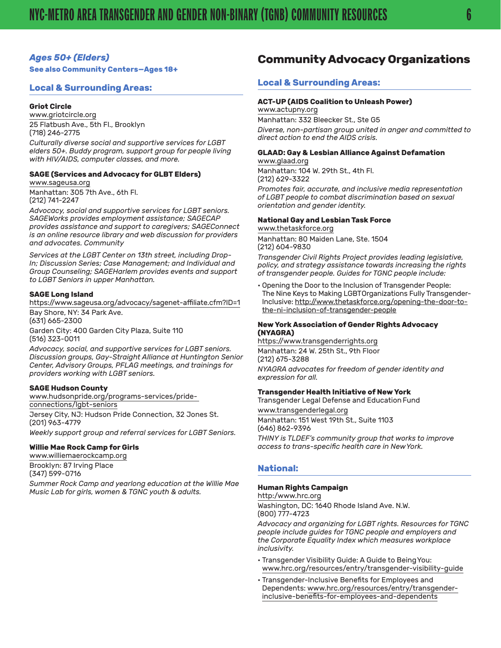#### <span id="page-5-0"></span>*Ages 50+ (Elders)*

**See also Community Centers—Ages 18+**

#### **Local & Surrounding Areas:**

#### **Griot Circle**

[www.griotcircle.org](http://www.griotcircle.org/) 25 Flatbush Ave., 5th Fl., Brooklyn (718) 246-2775

*Culturally diverse social and supportive services for LGBT elders 50+. Buddy program, support group for people living with HIV/AIDS, computer classes, and more.*

#### **SAGE (Services and Advocacy for GLBT Elders)** [www.sageusa.org](http://www.sageusa.org/)

Manhattan: 305 7th Ave., 6th Fl. (212) 741-2247

*Advocacy, social and supportive services for LGBT seniors. SAGEWorks provides employment assistance; SAGECAP provides assistance and support to caregivers; SAGEConnect is an online resource library and web discussion for providers and advocates. Community*

*Services at the LGBT Center on 13th street, including Drop-In; Discussion Series; Case Management; and Individual and Group Counseling; SAGEHarlem provides events and support to LGBT Seniors in upper Manhattan.*

#### **SAGE Long Island**

<https://www.sageusa.org/advocacy/sagenet-affiliate.cfm?ID=1> Bay Shore, NY: 34 Park Ave. (631) 665-2300 Garden City: 400 Garden City Plaza, Suite 110 (516) 323-0011

*Advocacy, social, and supportive services for LGBT seniors. Discussion groups, Gay-Straight Alliance at Huntington Senior Center, Advisory Groups, PFLAG meetings, and trainings for providers working with LGBT seniors.*

#### **SAGE Hudson County**

[www.hudsonpride.org/programs-services/pride](http://hudsonpride.org/programs-services/pride-connections/lgbt-seniors/)[connections/lgbt-seniors](http://hudsonpride.org/programs-services/pride-connections/lgbt-seniors/)

Jersey City, NJ: Hudson Pride Connection, 32 Jones St. (201) 963-4779 *Weekly support group and referral services for LGBT Seniors.*

#### **Willie Mae Rock Camp for Girls**

[www.williemaerockcamp.org](http://williemaerockcamp.org/) Brooklyn: 87 Irving Place

(347) 599-0716 *Summer Rock Camp and yearlong education at the Willie Mae* 

*Music Lab for girls, women & TGNC youth & adults.*

## **Community Advocacy Organizations**

#### **Local & Surrounding Areas:**

#### **ACT-UP (AIDS Coalition to Unleash Power)**

[www.actupny.org](http://www.actupny.org/) Manhattan: 332 Bleecker St., Ste G5 *Diverse, non-partisan group united in anger and committed to direct action to end the AIDS crisis.*

#### **GLAAD: Gay & Lesbian Alliance Against Defamation**

[www.glaad.org](http://www.glaad.org/) Manhattan: 104 W. 29th St., 4th Fl. (212) 629-3322

*Promotes fair, accurate, and inclusive media representation of LGBT people to combat discrimination based on sexual orientation and gender identity.*

#### **National Gay and Lesbian Task Force**

[www.thetaskforce.org](http://www.thetaskforce.org/)

Manhattan: 80 Maiden Lane, Ste. 1504 (212) 604-9830

*Transgender Civil Rights Project provides leading legislative, policy, and strategy assistance towards increasing the rights of transgender people. Guides for TGNC people include:*

• Opening the Door to the Inclusion of Transgender People: The Nine Keys to Making LGBT Organizations Fully Transgender-Inclusive: [http://www.thetaskforce.org/opening-the-door-to](http://www.thetaskforce.org/opening-the-door-to-the-ni-inclusion-of-transgender-people/)[the-ni-inclusion-of-transgender-people](http://www.thetaskforce.org/opening-the-door-to-the-ni-inclusion-of-transgender-people/)

#### **New York Association of Gender Rights Advocacy (NYAGRA)**

[https://www.transgenderrights.org](https://www.transgenderrights.org/) Manhattan: 24 W. 25th St., 9th Floor (212) 675-3288 *NYAGRA advocates for freedom of gender identity and expression for all.*

#### **Transgender Health Initiative of New York**

Transgender Legal Defense and Education Fund

[www.transgenderlegal.org](http://www.transgenderlegal.org/) Manhattan: 151 West 19th St., Suite 1103 (646) 862-9396 *THINY is TLDEF's community group that works to improve access to trans-specific health care in New York.*

#### **National:**

#### **Human Rights Campaign**

[http:/www.hrc.org](http://www.hrc.org/) Washington, DC: 1640 Rhode Island Ave. N.W. (800) 777-4723

*Advocacy and organizing for LGBT rights. Resources for TGNC people include guides for TGNC people and employers and the Corporate Equality Index which measures workplace inclusivity.*

- Transgender Visibility Guide: A Guide to Being You: [www.hrc.org/resources/entry/transgender-visibility-guide](http://www.hrc.org/resources/entry/transgender-visibility-guide)
- Transgender-Inclusive Benefits for Employees and Dependents: [www.hrc.org/resources/entry/transgender](http://www.hrc.org/resources/entry/transgender-inclusive-benefits-for-employees-and-dependents)[inclusive-benefits-for-employees-and-](http://www.hrc.org/resources/entry/transgender-inclusive-benefits-for-employees-and-dependents)[dependents](http://www.hrc.org/resources/entry/transgender-inclusive-benefits-for-employees-and-dependents)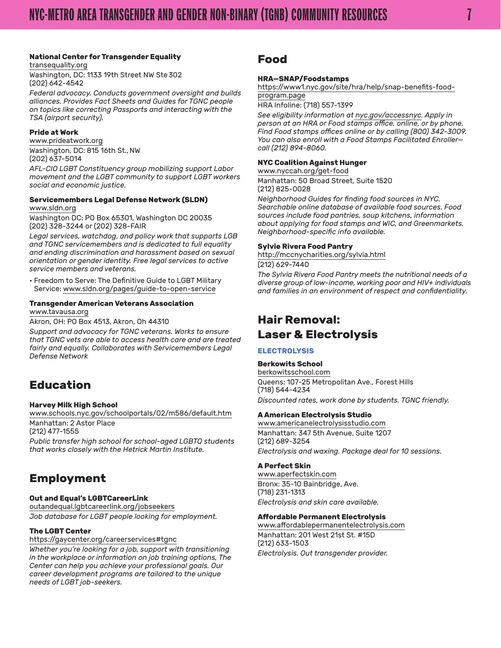#### <span id="page-6-0"></span>**National Center for Transgender Equality**

[transequality.org](http://transequality.org/) Washington, DC: 1133 19th Street NW Ste 302 (202) 642-4542

*Federal advocacy. Conducts government oversight and builds alliances. Provides Fact Sheets and Guides for TGNC people on topics like correcting Passports and interacting with the TSA (airport security).*

#### **Pride at Work**

[www.prideatwork.org](http://www.prideatwork.org/) Washington, DC: 815 16th St., NW (202) 637-5014

*AFL-CIO LGBT Constituency group mobilizing support Labor movement and the LGBT community to support LGBT workers social and economic justice.*

#### **Servicemembers Legal Defense Network (SLDN)** [www.sldn.org](http://www.sldn.org/)

Washington DC: PO Box 65301, Washington DC 20035 (202) 328-3244 or (202) 328-FAIR

*Legal services, watchdog, and policy work that supports LGB and TGNC servicemembers and is dedicated to full equality and ending discrimination and harassment based on sexual orientation or gender identity. Free legal services to active service members and veterans.*

• Freedom to Serve: The Definitive Guide to LGBT Military Service: [www.sldn.org/pages/guide-to-open-service](http://www.sldn.org/pages/guide-to-open-service)

#### **Transgender American Veterans Association**

[www.tavausa.org](http://www.tavausa.org/)

Akron, OH: PO Box 4513, Akron, Oh 44310

*Support and advocacy for TGNC veterans. Works to ensure that TGNC vets are able to access health care and are treated fairly and equally. Collaborates with Servicemembers Legal Defense Network*

## **Education**

#### **Harvey Milk High School**

[www.schools.nyc.gov/schoolportals/02/m586/default.htm](http://schools.nyc.gov/schoolportals/02/m586/default.htm) Manhattan: 2 Astor Place

(212) 477-1555

*Public transfer high school for school-aged LGBTQ students that works closely with the Hetrick Martin Institute.*

## **Employment**

#### **Out and Equal's LGBTCareerLink**

[outandequal.lgbtcareerlink.org/jobseekers](http://outandequal.lgbtcareerlink.org/jobseekers/) *Job database for LGBT people looking for employment.*

#### **The LGBT Center**

https://gaycenter.org/careerservices#tgnc

*Whether you're looking for a job, support with transitioning in the workplace or information on job training options, The Center can help you achieve your professional goals. Our career development programs are tailored to the unique needs of LGBT job-seekers.*

## **Food**

#### **HRA—SNAP/Foodstamps**

[https://www1.nyc.gov/site/hra/help/snap-benefits-food](https://www1.nyc.gov/site/hra/help/snap-benefits-food-program.page)[program.page](https://www1.nyc.gov/site/hra/help/snap-benefits-food-program.page)

HRA Infoline: (718) 557-1399

*See eligibility information at [nyc.gov/accessnyc.](http://nyc.gov/accessnyc) Apply in person at an HRA or Food stamps office, online, or by phone. Find Food stamps offices online or by calling (800) 342-3009. You can also enroll with a Food Stamps Facilitated Enroller call (212) 894-8060.*

#### **NYC Coalition Against Hunger**

[www.nyccah.org/get-food](https://www.hungerfreeamerica.org/hunger-free-nyc) Manhattan: 50 Broad Street, Suite 1520 (212) 825-0028

*Neighborhood Guides for finding food sources in NYC. Searchable online database of available food sources. Food sources include food pantries, soup kitchens, information about applying for food stamps and WIC, and Greenmarkets. Neighborhood-specific info available.*

#### **Sylvie Rivera Food Pantry**

<http://mccnycharities.org/sylvia.html> (212) 629-7440

*The Sylvia Rivera Food Pantry meets the nutritional needs of a diverse group of low-income, working poor and HIV+ individuals and families in an environment of respect and confidentiality.*

## **Hair Removal: Laser & Electrolysis**

#### **ELECTROLYSIS**

#### **Berkowits School**

[berkowitsschool.com](http://berkowitsschool.com/) Queens: 107-25 Metropolitan Ave., Forest Hills (718) 544-4234 *Discounted rates, work done by students. TGNC friendly.*

#### **A American Electrolysis Studio**

[www.americanelectrolysisstudio.com](http://www.americanelectrolysisstudio.com/) Manhattan: 347 5th Avenue, Suite 1207 (212) 689-3254 *Electrolysis and waxing. Package deal for 10 sessions.*

#### **A Perfect Skin**

[www.aperfectskin.com](http://www.aperfectskin.com) Bronx: 35-10 Bainbridge, Ave. (718) 231-1313 *Electrolysis and skin care available.*

#### **Affordable Permanent Electrolysis**

[www.affordablepermanentelectrolysis.com](http://www.affordablepermanentelectrolysis.com/) Manhattan: 201 West 21st St. #15D (212) 633-1503 *Electrolysis. Out transgender provider.*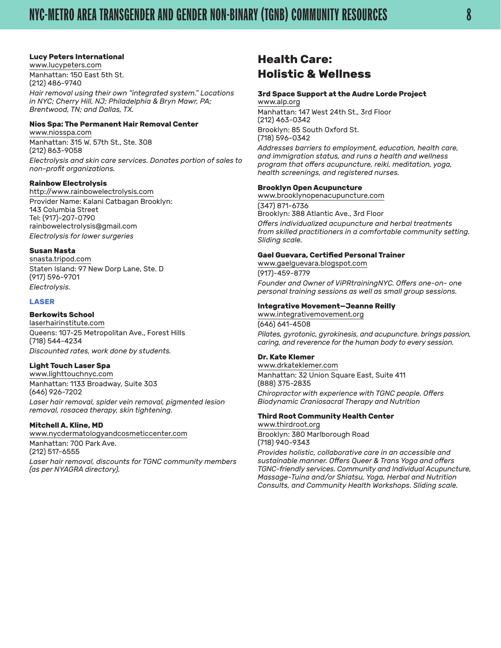#### <span id="page-7-0"></span>**Lucy Peters International**

[www.lucypeters.com](http://www.lucypeters.com/) Manhattan: 150 East 5th St. (212) 486-9740

*Hair removal using their own "integrated system." Locations in NYC; Cherry Hill, NJ; Philadelphia & Bryn Mawr, PA; Brentwood, TN; and Dallas, TX.*

#### **Nios Spa: The Permanent Hair Removal Center**

[www.niosspa.com](http://www.niosspa.com/) Manhattan: 315 W. 57th St., Ste. 308 (212) 863-9058

*Electrolysis and skin care services. Donates portion of sales to non-profit organizations.*

#### **Rainbow Electrolysis**

[http://www.rainbowelectrolysis.com](http://www.rainbowelectrolysis.com/) Provider Name: Kalani Catbagan Brooklyn: 143 Columbia Street Tel: (917)-207-0790 [rainbowelectrolysis@gmail.com](mailto:rainbowelectrolysis@gmail.com) *Electrolysis for lower surgeries*

#### **Susan Nasta**

[snasta.tripod.com](http://snasta.tripod.com/) Staten Island: 97 New Dorp Lane, Ste. D (917) 596-9701 *Electrolysis.*

#### **LASER**

#### **Berkowits School**

[laserhairinstitute.com](http://laserhairinstitute.com/) Queens: 107-25 Metropolitan Ave., Forest Hills (718) 544-4234 *Discounted rates, work done by students.*

#### **Light Touch Laser Spa**

[www.lighttouchnyc.com](http://www.lighttouchnyc.com/) Manhattan: 1133 Broadway, Suite 303 (646) 926-7202

*Laser hair removal, spider vein removal, pigmented lesion removal, rosacea therapy, skin tightening.*

#### **Mitchell A. Kline, MD**

[www.nycdermatologyandcosmeticcenter.com](http://www.nycdermatologyandcosmeticcenter.com/)

Manhattan: 700 Park Ave. (212) 517-6555 *Laser hair removal, discounts for TGNC community members (as per NYAGRA directory).*

## **Health Care: Holistic & Wellness**

#### **3rd Space Support at the Audre Lorde Project**

[www.alp.org](http://alp.org/) Manhattan: 147 West 24th St., 3rd Floor (212) 463-0342 Brooklyn: 85 South Oxford St. (718) 596-0342

*Addresses barriers to employment, education, health care, and immigration status, and runs a health and wellness program that offers acupuncture, reiki, meditation, yoga, health screenings, and registered nurses.*

#### **Brooklyn Open Acupuncture**

[www.brooklynopenacupuncture.com](http://brooklynopenacupuncture.com/) (347) 871-6736 Brooklyn: 388 Atlantic Ave., 3rd Floor *Offers individualized acupuncture and herbal treatments from skilled practitioners in a comfortable community setting. Sliding scale.*

#### **Gael Guevara, Certified Personal Trainer**

[www.gaelguevara.blogspot.com](http://www.gaelguevara.blogspot.com/) (917)-459-8779 *Founder and Owner of ViPRtrainingNYC. Offers one-on- one personal training sessions as well as small group sessions.*

#### **Integrative Movement—Jeanne Reilly**

[www.integrativemovement.org](http://www.integrativemovement.org) (646) 641-4508 *Pilates, gyrotonic, gyrokinesis, and acupuncture. brings passion, caring, and reverence for the human body to every session.*

#### **Dr. Kate Klemer**

[www.drkateklemer.com](http://drkateklemer.com/) Manhattan: 32 Union Square East, Suite 411 (888) 375-2835 *Chiropractor with experience with TGNC people. Offers Biodynamic Craniosacral Therapy and Nutrition*

#### **Third Root Community Health Center**

[www.thirdroot.org](http://thirdroot.org/) Brooklyn: 380 Marlborough Road (718) 940-9343

*Provides holistic, collaborative care in an accessible and sustainable manner. Offers Queer & Trans Yoga and offers TGNC-friendly services. Community and Individual Acupuncture, Massage-Tuina and/or Shiatsu, Yoga, Herbal and Nutrition Consults, and Community Health Workshops. Sliding scale.*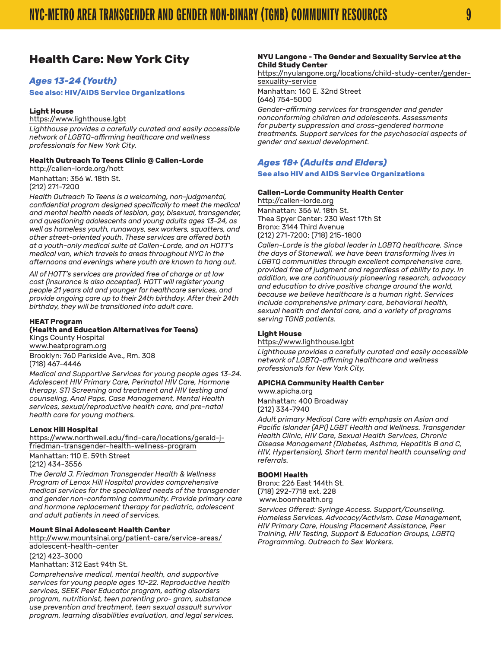## <span id="page-8-0"></span>**Health Care: New York City**

#### *Ages 13-24 (Youth)*

**See also: HIV/AIDS Service Organizations**

#### **Light House**

[https://www.lighthouse.lgbt](https://www.lighthouse.lgbt/)

*Lighthouse provides a carefully curated and easily accessible network of LGBTQ-affirming healthcare and wellness professionals for New York City.*

#### **Health Outreach To Teens Clinic @ Callen-Lorde**

[http://callen-lorde.org/hott](http://callen-lorde.org/hott/) Manhattan: 356 W. 18th St.

(212) 271-7200 *Health Outreach To Teens is a welcoming, non-judgmental,* 

*confidential program designed specifically to meet the medical and mental health needs of lesbian, gay, bisexual, transgender, and questioning adolescents and young adults ages 13-24, as well as homeless youth, runaways, sex workers, squatters, and other street-oriented youth. These services are offered both at a youth-only medical suite at Callen-Lorde, and on HOTT's medical van, which travels to areas throughout NYC in the afternoons and evenings where youth are known to hang out.*

*All of HOTT's services are provided free of charge or at low cost (insurance is also accepted). HOTT will register young people 21 years old and younger for healthcare services, and provide ongoing care up to their 24th birthday. After their 24th birthday, they will be transitioned into adult care.*

#### **HEAT Program**

#### **(Health and Education Alternatives for Teens)**

Kings County Hospital [www.heatprogram.org](http://www.heatprogram.org/) Brooklyn: 760 Parkside Ave., Rm. 308 (718) 467-4446

*Medical and Supportive Services for young people ages 13-24. Adolescent HIV Primary Care, Perinatal HIV Care, Hormone therapy, STI Screening and treatment and HIV testing and counseling, Anal Paps, Case Management, Mental Health services, sexual/reproductive health care, and pre-natal health care for young mothers.*

#### **Lenox Hill Hospital**

[https://www.northwell.edu/find-care/locations/gerald-j](https://www.northwell.edu/find-care/locations/gerald-j-friedman-transgender-health-wellness-program)[friedman-transgender-health-wellness-program](https://www.northwell.edu/find-care/locations/gerald-j-friedman-transgender-health-wellness-program)

Manhattan: 110 E. 59th Street

(212) 434-3556

*The Gerald J. Friedman Transgender Health & Wellness Program of Lenox Hill Hospital provides comprehensive medical services for the specialized needs of the transgender and gender non-conforming community. Provide primary care and hormone replacement therapy for pediatric, adolescent and adult patients in need of services.* 

#### **Mount Sinai Adolescent Health Center**

[http://www.mountsinai.org/patient-care/service-areas/](http://www.mountsinai.org/patient-care/service-areas/adolescent-health-center) [adolescent-health-center](http://www.mountsinai.org/patient-care/service-areas/adolescent-health-center)

(212) 423-3000 Manhattan: 312 East 94th St.

*Comprehensive medical, mental health, and supportive services for young people ages 10-22. Reproductive health services, SEEK Peer Educator program, eating disorders program, nutritionist, teen parenting pro- gram, substance use prevention and treatment, teen sexual assault survivor program, learning disabilities evaluation, and legal services.*

#### **NYU Langone - The Gender and Sexuality Service at the Child Study Center**

[https://nyulangone.org/locations/child-study-center/gender](https://nyulangone.org/locations/child-study-center/gender-sexuality-service)[sexuality-service](https://nyulangone.org/locations/child-study-center/gender-sexuality-service)

Manhattan: 160 E. 32nd Street (646) 754-5000

*Gender-affirming services for transgender and gender nonconforming children and adolescents. Assessments for puberty suppression and cross-gendered hormone treatments. Support services for the psychosocial aspects of gender and sexual development.*

#### *Ages 18+ (Adults and Elders)*

#### **See also HIV and AIDS Service Organizations**

#### **Callen-Lorde Community Health Center**

[http://callen-lorde.org](http://callen-lorde.org/) Manhattan: 356 W. 18th St. Thea Spyer Center: 230 West 17th St Bronx: 3144 Third Avenue (212) 271-7200; (718) 215-1800

*Callen-Lorde is the global leader in LGBTQ healthcare. Since the days of Stonewall, we have been transforming lives in LGBTQ communities through excellent comprehensive care, provided free of judgment and regardless of ability to pay. In addition, we are continuously pioneering research, advocacy and education to drive positive change around the world, because we believe healthcare is a human right. Services include comprehensive primary care, behavioral health, sexual health and dental care, and a variety of programs serving TGNB patients.*

#### **Light House**

[https://www.lighthouse.lgbt](https://www.lighthouse.lgbt/)

*Lighthouse provides a carefully curated and easily accessible network of LGBTQ-affirming healthcare and wellness professionals for New York City.*

#### **APICHA Community Health Center**

[www.apicha.org](http://www.apicha.org/) Manhattan: 400 Broadway (212) 334-7940

*Adult primary Medical Care with emphasis on Asian and Pacific Islander (API) LGBT Health and Wellness. Transgender Health Clinic, HIV Care, Sexual Health Services, Chronic Disease Management (Diabetes, Asthma, Hepatitis B and C, HIV, Hypertension), Short term mental health counseling and referrals.*

#### **BOOM! Health**

Bronx: 226 East 144th St. (718) 292-7718 ext. 228 [www.boomhealth.org](http://www.boomhealth.org/)

*Services Offered: Syringe Access. Support/Counseling. Homeless Services. Advocacy/Activism. Case Management, HIV Primary Care, Housing Placement Assistance, Peer Training, HIV Testing, Support & Education Groups, LGBTQ Programming. Outreach to Sex Workers.*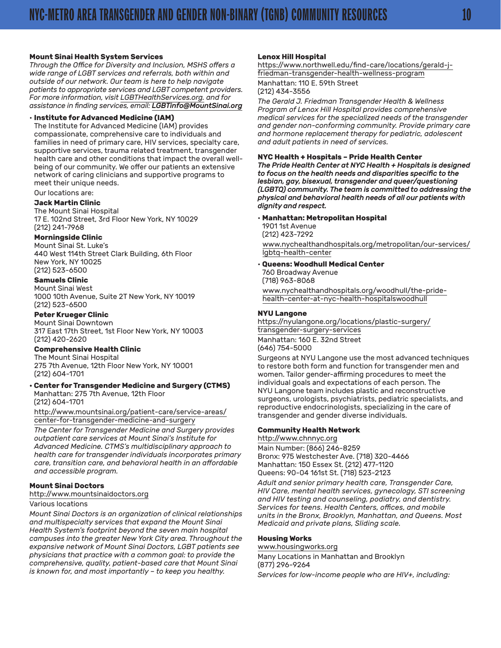#### **Mount Sinai Health System Services**

*Through the Office for Diversity and Inclusion, MSHS offers a wide range of LGBT services and referrals, both within and outside of our network. Our team is here to help navigate patients to appropriate services and LGBT competent providers. For more information, visit [LGBTHealthServices.org](http://LGBTHealthServices.org). and for assistance in finding services, email: [LGBTinfo@MountSinai.org](mailto:LGBTinfo@MountSinai.org)*

#### • **Institute for Advanced Medicine (IAM)**

The Institute for Advanced Medicine (IAM) provides compassionate, comprehensive care to individuals and families in need of primary care, HIV services, specialty care, supportive services, trauma related treatment, transgender health care and other conditions that impact the overall wellbeing of our community. We offer our patients an extensive network of caring clinicians and supportive programs to meet their unique needs.

Our locations are:

#### **Jack Martin Clinic**

The Mount Sinai Hospital 17 E. 102nd Street, 3rd Floor New York, NY 10029 (212) 241-7968

#### **Morningside Clinic**

Mount Sinai St. Luke's 440 West 114th Street Clark Building, 6th Floor New York, NY 10025 (212) 523-6500

#### **Samuels Clinic**

Mount Sinai West 1000 10th Avenue, Suite 2T New York, NY 10019 (212) 523-6500

#### **Peter Krueger Clinic**

Mount Sinai Downtown 317 East 17th Street, 1st Floor New York, NY 10003 (212) 420-2620

#### **Comprehensive Health Clinic**

The Mount Sinai Hospital 275 7th Avenue, 12th Floor New York, NY 10001 (212) 604-1701

#### **• Center for Transgender Medicine and Surgery (CTMS)** Manhattan: 275 7th Avenue, 12th Floor

(212) 604-1701

[http://www.mountsinai.org/patient-care/service-areas/](http://www.mountsinai.org/patient-care/service-areas/center-for-transgender-medicine-and-surgery) [center-for-transgender-medicine-and-surgery](http://www.mountsinai.org/patient-care/service-areas/center-for-transgender-medicine-and-surgery)

*The Center for Transgender Medicine and Surgery provides outpatient care services at Mount Sinai's [Institute for](http://www.mountsinaihealth.org/patient-care/infectious-diseases)  [Advanced Medicine.](http://www.mountsinaihealth.org/patient-care/infectious-diseases) CTMS's multidisciplinary approach to health care for transgender individuals incorporates primary care, transition care, and behavioral health in an affordable and accessible program.*

#### **Mount Sinai Doctors**

[http://www.mountsinaidoctors.org](http://www.mountsinaidoctors.org/)

#### Various locations

*Mount Sinai Doctors is an organization of clinical relationships and multispecialty services that expand the Mount Sinai Health System's footprint beyond the seven main hospital campuses into the greater New York City area. Throughout the expansive network of Mount Sinai Doctors, LGBT patients see physicians that practice with a common goal: to provide the comprehensive, quality, patient-based care that Mount Sinai is known for, and most importantly – to keep you healthy.*

#### **Lenox Hill Hospital**

[https://www.northwell.edu/find-care/locations/gerald-j](https://www.northwell.edu/find-care/locations/gerald-j-friedman-transgender-health-wellness-program)[friedman-transgender-health-wellness-program](https://www.northwell.edu/find-care/locations/gerald-j-friedman-transgender-health-wellness-program)

Manhattan: 110 E. 59th Street (212) 434-3556

*The Gerald J. Friedman Transgender Health & Wellness Program of Lenox Hill Hospital provides comprehensive medical services for the specialized needs of the transgender and gender non-conforming community. Provide primary care and hormone replacement therapy for pediatric, adolescent and adult patients in need of services.* 

#### **NYC Health + Hospitals – Pride Health Center**

*The Pride Health Center at NYC Health + Hospitals is designed to focus on the health needs and disparities specific to the lesbian, gay, bisexual, transgender and queer/questioning (LGBTQ) community. The team is committed to addressing the physical and behavioral health needs of all our patients with dignity and respect.*

#### • **Manhattan: Metropolitan Hospital**

1901 1st Avenue (212) 423-7292

[www.nychealthandhospitals.org/metropolitan/our-services/](https://www.nychealthandhospitals.org/metropolitan/our-services/lgbtq-health-center/) [lgbtq-health-center](https://www.nychealthandhospitals.org/metropolitan/our-services/lgbtq-health-center/)

#### • **Queens: Woodhull Medical Center**

760 Broadway Avenue (718) 963-8068

[www.nychealthandhospitals.org/woodhull/the-pride](https://www.nychealthandhospitals.org/woodhull/the-pride-health-center-at-nyc-health-hospitalswoodhu)[health-center-at-nyc-health-hospitalswoodhull](https://www.nychealthandhospitals.org/woodhull/the-pride-health-center-at-nyc-health-hospitalswoodhu)

#### **NYU Langone**

[https://nyulangone.org/locations/plastic-surgery/](https://nyulangone.org/locations/plastic-surgery/transgender-surgery-services) [transgender-surgery-services](https://nyulangone.org/locations/plastic-surgery/transgender-surgery-services)

Manhattan: 160 E. 32nd Street (646) 754-5000

Surgeons at NYU Langone use the most advanced techniques to restore both form and function for transgender men and women. Tailor gender-affirming procedures to meet the individual goals and expectations of each person. The NYU Langone team includes plastic and reconstructive surgeons, urologists, psychiatrists, pediatric specialists, and reproductive endocrinologists, specializing in the care of transgender and gender diverse individuals.

#### **Community Health Network**

<http://www.chnnyc.org>

Main Number: (866) 246-8259 Bronx: 975 Westchester Ave. (718) 320-4466 Manhattan: 150 Essex St. (212) 477-1120 Queens: 90-04 161st St. (718) 523-2123

*Adult and senior primary health care, Transgender Care, HIV Care, mental health services, gynecology, STI screening and HIV testing and counseling, podiatry, and dentistry. Services for teens. Health Centers, offices, and mobile units in the Bronx, Brooklyn, Manhattan, and Queens. Most Medicaid and private plans, Sliding scale.*

#### **Housing Works**

[www.housingworks.org](http://www.housingworks.org/) Many Locations in Manhattan and Brooklyn (877) 296-9264

*Services for low-income people who are HIV+, including:*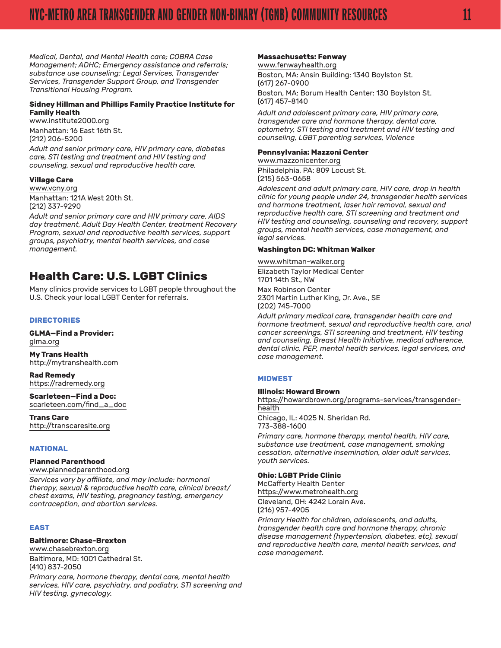<span id="page-10-0"></span>*Medical, Dental, and Mental Health care; COBRA Case Management; ADHC; Emergency assistance and referrals; substance use counseling; Legal Services, Transgender Services, Transgender Support Group, and Transgender Transitional Housing Program.*

#### **Sidney Hillman and Phillips Family Practice Institute for Family Health**

[www.institute2000.org](http://www.institute2000.org/) Manhattan: 16 East 16th St. (212) 206-5200

*Adult and senior primary care, HIV primary care, diabetes care, STI testing and treatment and HIV testing and counseling, sexual and reproductive health care.*

#### **Village Care**

[www.vcny.org](http://www.vcny.org/) Manhattan: 121A West 20th St. (212) 337-9290

*Adult and senior primary care and HIV primary care, AIDS day treatment, Adult Day Health Center, treatment Recovery Program, sexual and reproductive health services, support groups, psychiatry, mental health services, and case management.*

## **Health Care: U.S. LGBT Clinics**

Many clinics provide services to LGBT people throughout the U.S. Check your local LGBT Center for referrals.

#### **DIRECTORIES**

**GLMA—Find a Provider:**  [glma.org](http://www.glma.org/)

**My Trans Health** http://mytranshealth.com

**Rad Remedy** https://radremedy.org

**Scarleteen—Find a Doc:**  [scarleteen.com/find\\_a\\_doc](http://www.scarleteen.com/find_a_doc)

**Trans Care** http://transcaresite.org

#### **NATIONAL**

#### **Planned Parenthood**

[www.plannedparenthood.org](http://www.plannedparenthood.org/)

*Services vary by affiliate, and may include: hormonal therapy, sexual & reproductive health care, clinical breast/ chest exams, HIV testing, pregnancy testing, emergency contraception, and abortion services.*

#### **EAST**

#### **Baltimore: Chase-Brexton**

[www.chasebrexton.org](http://www.chasebrexton.org/) Baltimore, MD: 1001 Cathedral St. (410) 837-2050

*Primary care, hormone therapy, dental care, mental health services, HIV care, psychiatry, and podiatry, STI screening and HIV testing, gynecology.*

#### **Massachusetts: Fenway**

#### [www.fenwayhealth.org](http://www.fenwayhealth.org/)

Boston, MA: Ansin Building: 1340 Boylston St. (617) 267-0900 Boston, MA: Borum Health Center: 130 Boylston St. (617) 457-8140

*Adult and adolescent primary care, HIV primary care, transgender care and hormone therapy, dental care, optometry, STI testing and treatment and HIV testing and counseling, LGBT parenting services, Violence*

#### **Pennsylvania: Mazzoni Center**

[www.mazzonicenter.org](http://mazzonicenter.org/) Philadelphia, PA: 809 Locust St. (215) 563-0658

*Adolescent and adult primary care, HIV care, drop in health clinic for young people under 24, transgender health services and hormone treatment, laser hair removal, sexual and reproductive health care, STI screening and treatment and HIV testing and counseling, counseling and recovery, support groups, mental health services, case management, and legal services.*

#### **Washington DC: Whitman Walker**

[www.whitman-walker.org](http://www.whitman-walker.org/) Elizabeth Taylor Medical Center 1701 14th St., NW Max Robinson Center 2301 Martin Luther King, Jr. Ave., SE

(202) 745-7000 *Adult primary medical care, transgender health care and hormone treatment, sexual and reproductive health care, anal cancer screenings, STI screening and treatment, HIV testing* 

*and counseling, Breast Health Initiative, medical adherence, dental clinic, PEP, mental health services, legal services, and case management.*

#### **MIDWEST**

**Illinois: Howard Brown**  [https://howardbrown.org/programs-services/transgender](https://howardbrown.org/programs-services/transgender-health/)[health](https://howardbrown.org/programs-services/transgender-health/) Chicago, IL: 4025 N. Sheridan Rd. 773-388-1600

*Primary care, hormone therapy, mental health, HIV care, substance use treatment, case management, smoking cessation, alternative insemination, older adult services, youth services.*

#### **Ohio: LGBT Pride Clinic**

McCafferty Health Center [https://www.metrohealth.org](https://www.metrohealth.org/) Cleveland, OH: 4242 Lorain Ave. (216) 957-4905

*Primary Health for children, adolescents, and adults, transgender health care and hormone therapy, chronic disease management (hypertension, diabetes, etc), sexual and reproductive health care, mental health services, and case management.*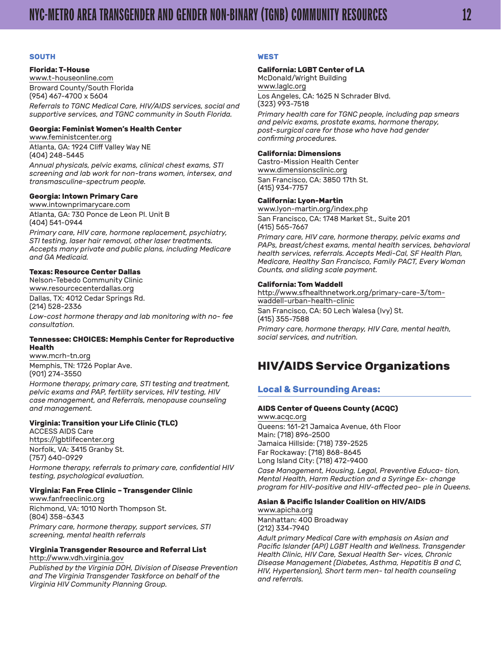#### <span id="page-11-0"></span>**SOUTH**

#### **Florida: T-House**

[www.t-houseonline.com](http://www.t-houseonline.com/) Broward County/South Florida (954) 467-4700 x 5604 *Referrals to TGNC Medical Care, HIV/AIDS services, social and supportive services, and TGNC community in South Florida.*

#### **Georgia: Feminist Women's Health Center**

[www.feministcenter.org](http://www.feministcenter.org/) Atlanta, GA: 1924 Cliff Valley Way NE (404) 248-5445

*Annual physicals, pelvic exams, clinical chest exams, STI screening and lab work for non-trans women, intersex, and transmasculine-spectrum people.*

#### **Georgia: Intown Primary Care**

[www.intownprimarycare.com](http://www.intownprimarycare.com/) Atlanta, GA: 730 Ponce de Leon Pl. Unit B (404) 541-0944

*Primary care, HIV care, hormone replacement, psychiatry, STI testing, laser hair removal, other laser treatments. Accepts many private and public plans, including Medicare and GA Medicaid.*

#### **Texas: Resource Center Dallas**

Nelson-Tebedo Community Clinic [www.resourcecenterdallas.org](http://www.resourcecenterdallas.org/) Dallas, TX: 4012 Cedar Springs Rd. (214) 528-2336

*Low-cost hormone therapy and lab monitoring with no- fee consultation.*

#### **Tennessee: CHOICES: Memphis Center for Reproductive Health**

[www.mcrh-tn.org](http://www.mcrh-tn.org/) Memphis, TN: 1726 Poplar Ave. (901) 274-3550

*Hormone therapy, primary care, STI testing and treatment, pelvic exams and PAP, fertility services, HIV testing, HIV case management, and Referrals, menopause counseling and management.*

#### **Virginia: Transition your Life Clinic (TLC)**

ACCESS AIDS Care [https://lgbtlifecenter.org](https://lgbtlifecenter.org/) Norfolk, VA: 3415 Granby St. (757) 640-0929

*Hormone therapy, referrals to primary care, confidential HIV testing, psychological evaluation.*

#### **Virginia: Fan Free Clinic – Transgender Clinic**

[www.fanfreeclinic.org](http://www.fanfreeclinic.org) Richmond, VA: 1010 North Thompson St. (804) 358-6343 *Primary care, hormone therapy, support services, STI screening, mental health referrals*

#### **Virginia Transgender Resource and Referral List**

[http://www.vdh.virginia.gov](http://www.vdh.virginia.gov/)

*Published by the Virginia DOH, Division of Disease Prevention and The Virginia Transgender Taskforce on behalf of the Virginia HIV Community Planning Group.*

#### **WEST**

#### **California: LGBT Center of LA**

McDonald/Wright Building [www.laglc.org](http://www.laglc.org/)

Los Angeles, CA: 1625 N Schrader Blvd. (323) 993-7518

*Primary health care for TGNC people, including pap smears and pelvic exams, prostate exams, hormone therapy, post-surgical care for those who have had gender confirming procedures.*

#### **California: Dimensions**

Castro-Mission Health Center [www.dimensionsclinic.org](http://www.dimensionsclinic.org/) San Francisco, CA: 3850 17th St. (415) 934-7757

#### **California: Lyon-Martin**

[www.lyon-martin.org/index.php](http://www.lyon-martin.org/index.php) San Francisco, CA: 1748 Market St., Suite 201 (415) 565-7667

*Primary care, HIV care, hormone therapy, pelvic exams and PAPs, breast/chest exams, mental health services, behavioral health services, referrals. Accepts Medi-Cal, SF Health Plan, Medicare, Healthy San Francisco, Family PACT, Every Woman Counts, and sliding scale payment.*

#### **California: Tom Waddell**

[http://www.sfhealthnetwork.org/primary-care-3/tom](http://www.sfhealthnetwork.org/primary-care-3/tom-waddell-urban-health-clinic/)[waddell-urban-health-clinic](http://www.sfhealthnetwork.org/primary-care-3/tom-waddell-urban-health-clinic/) San Francisco, CA: 50 Lech Walesa (Ivy) St. (415) 355-7588 *Primary care, hormone therapy, HIV Care, mental health, social services, and nutrition.*

## **HIV/AIDS Service Organizations**

#### **Local & Surrounding Areas:**

#### **AIDS Center of Queens County (ACQC)**

[www.acqc.org](http://www.acqc.org/) Queens: 161-21 Jamaica Avenue, 6th Floor Main: (718) 896-2500 Jamaica Hillside: (718) 739-2525 Far Rockaway: (718) 868-8645 Long Island City: (718) 472-9400 *Case Management, Housing, Legal, Preventive Educa- tion,* 

*Mental Health, Harm Reduction and a Syringe Ex- change program for HIV-positive and HIV-affected peo- ple in Queens.*

#### **Asian & Pacific Islander Coalition on HIV/AIDS**

[www.apicha.org](http://www.apicha.org/) Manhattan: 400 Broadway (212) 334-7940

*Adult primary Medical Care with emphasis on Asian and Pacific Islander (API) LGBT Health and Wellness. Transgender Health Clinic, HIV Care, Sexual Health Ser- vices, Chronic Disease Management (Diabetes, Asthma, Hepatitis B and C, HIV, Hypertension), Short term men- tal health counseling and referrals.*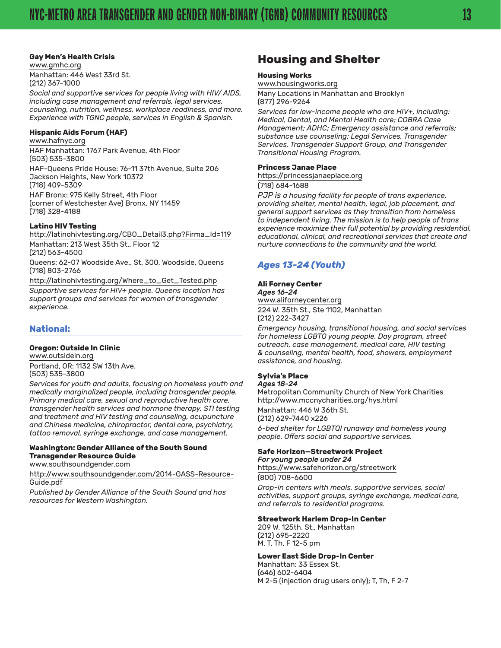#### <span id="page-12-0"></span>**Gay Men's Health Crisis**

[www.gmhc.org](http://www.gmhc.org/) Manhattan: 446 West 33rd St. (212) 367-1000

*Social and supportive services for people living with HIV/ AIDS, including case management and referrals, legal services, counseling, nutrition, wellness, workplace readiness, and more. Experience with TGNC people, services in English & Spanish.*

#### **Hispanic Aids Forum (HAF)**

[www.hafnyc.org](http://www.hafnyc.org/) HAF Manhattan: 1767 Park Avenue, 4th Floor (503) 535-3800 HAF-Queens Pride House: 76-11 37th Avenue, Suite 206 Jackson Heights, New York 10372 (718) 409-5309 HAF Bronx: 975 Kelly Street, 4th Floor (corner of Westchester Ave) Bronx, NY 11459 (718) 328-4188

#### **Latino HIV Testing**

http://latinohivtesting.org/CBO\_Detail3.php?Firma\_Id=119 Manhattan: 213 West 35th St., Floor 12 (212) 563-4500

Queens: 62-07 Woodside Ave., St. 300, Woodside, Queens (718) 803-2766

http://latinohivtesting.org/Where\_to\_Get\_Tested.php

*Supportive services for HIV+ people. Queens location has support groups and services for women of transgender experience.*

#### **National:**

#### **Oregon: Outside In Clinic**

[www.outsidein.org](http://www.outsidein.org/) Portland, OR: 1132 SW 13th Ave. (503) 535-3800

*Services for youth and adults, focusing on homeless youth and medically marginalized people, including transgender people. Primary medical care, sexual and reproductive health care, transgender health services and hormone therapy, STI testing and treatment and HIV testing and counseling, acupuncture and Chinese medicine, chiropractor, dental care, psychiatry, tattoo removal, syringe exchange, and case management.*

#### **Washington: Gender Alliance of the South Sound Transgender Resource Guide**

[www.southsoundgender.com](http://www.southsoundgender.com/)

[http://www.southsoundgender.com/2014-GASS-Resource-](http://www.southsoundgender.com/2014-GASS-Resource-Guide.pdf)[Guide.pdf](http://www.southsoundgender.com/2014-GASS-Resource-Guide.pdf)

*Published by Gender Alliance of the South Sound and has resources for Western Washington.*

## **Housing and Shelter**

#### **Housing Works**

[www.housingworks.org](http://www.housingworks.org/)

Many Locations in Manhattan and Brooklyn (877) 296-9264

*Services for low-income people who are HIV+, including: Medical, Dental, and Mental Health care; COBRA Case Management; ADHC; Emergency assistance and referrals; substance use counseling; Legal Services, Transgender Services, Transgender Support Group, and Transgender Transitional Housing Program.*

#### **Princess Janae Place**

https://princessjanaeplace.org (718) 684-1688

*PJP is a housing facility for people of trans experience, providing shelter, mental health, legal, job placement, and general support services as they transition from homeless to independent living. The mission is to help people of trans experience maximize their full potential by providing residential, educational, clinical, and recreational services that create and nurture connections to the community and the world.*

#### *Ages 13-24 (Youth)*

#### **Ali Forney Center**

*Ages 16-24* [www.aliforneycenter.org](http://www.aliforneycenter.org/) 224 W. 35th St., Ste 1102, Manhattan (212) 222-3427

*Emergency housing, transitional housing, and social services for homeless LGBTQ young people. Day program, street outreach, case management, medical care, HIV testing & counseling, mental health, food, showers, employment assistance, and housing.*

#### **Sylvia's Place**

*Ages 18-24*  Metropolitan Community Church of New York Charities <http://www.mccnycharities.org/hys.html> Manhattan: 446 W 36th St. (212) 629-7440 x226

*6-bed shelter for LGBTQI runaway and homeless young people. Offers social and supportive services.*

#### **Safe Horizon—Streetwork Project** *For young people under 24*

[https://www.safehorizon.org/streetwork](https://www.safehorizon.org/streetwork/)

(800) 708-6600

*Drop-in centers with meals, supportive services, social activities, support groups, syringe exchange, medical care, and referrals to residential programs.*

#### **Streetwork Harlem Drop-In Center**

209 W. 125th. St., Manhattan (212) 695-2220 M, T, Th, F 12-5 pm

#### **Lower East Side Drop-In Center**

Manhattan: 33 Essex St. (646) 602-6404 M 2-5 (injection drug users only); T, Th, F 2-7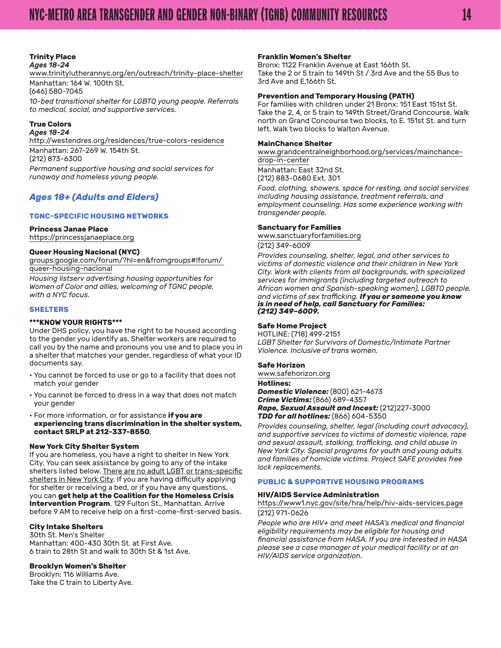#### **Trinity Place** *Ages 18-24*

[www.trinitylutherannyc.org/en/outreach/trinity-place-shelter](http://www.trinitylutherannyc.org/en/outreach/trinity-place-shelter) Manhattan: 164 W. 100th St.

(646) 580-7045

*10-bed transitional shelter for LGBTQ young people. Referrals to medical, social, and supportive services.*

#### **True Colors**

*Ages 18-24*  [http://westendres.org/residences/true-colors-residence](http://westendres.org/residences/true-colors-residence/) Manhattan: 267-269 W. 154th St. (212) 873-6300 *Permanent supportive housing and social services for runaway and homeless young people.*

#### *Ages 18+ (Adults and Elders)*

#### **TGNC-SPECIFIC HOUSING NETWORKS**

#### **Princess Janae Place**

https://princessjanaeplace.org

#### **Queer Housing Nacional (NYC)**

[groups.google.com/forum/?hl=en&fromgroups#!forum/](http://groups.google.com/forum/?hl=en&fromgroups#!forum/ queer-housing-nacional)  [queer-housing-nacional](http://groups.google.com/forum/?hl=en&fromgroups#!forum/ queer-housing-nacional)

*Housing listserv advertising housing opportunities for Women of Color and allies, welcoming of TGNC people, with a NYC focus.*

#### **SHELTERS**

#### **\*\*\*KNOW YOUR RIGHTS\*\*\***

Under DHS policy, you have the right to be housed according to the gender you identify as. Shelter workers are required to call you by the name and pronouns you use and to place you in a shelter that matches your gender, regardless of what your ID documents say.

- You cannot be forced to use or go to a facility that does not match your gender
- You cannot be forced to dress in a way that does not match your gender
- For more information, or for assistance **if you are experiencing trans discrimination in the shelter system, contact SRLP at 212-337-8550**.

#### **New York City Shelter System**

If you are homeless, you have a right to shelter in New York City. You can seek assistance by going to any of the intake shelters listed below. There are no adult LGBT or trans-specific shelters in New York City. If you are having difficulty applying for shelter or receiving a bed, or if you have any questions, you can **get help at the Coalition for the Homeless Crisis Intervention Program**. 129 Fulton St., Manhattan. Arrive before 9 AM to receive help on a first-come-first-served basis.

#### **City Intake Shelters**

30th St. Men's Shelter Manhattan: 400-430 30th St. at First Ave. 6 train to 28th St and walk to 30th St & 1st Ave.

#### **Brooklyn Women's Shelter**

Brooklyn: 116 Williams Ave. Take the C train to Liberty Ave.

#### **Franklin Women's Shelter**

Bronx: 1122 Franklin Avenue at East 166th St. Take the 2 or 5 train to 149th St / 3rd Ave and the 55 Bus to 3rd Ave and E.166th St.

#### **Prevention and Temporary Housing (PATH)**

For families with children under 21 Bronx: 151 East 151st St. Take the 2, 4, or 5 train to 149th Street/Grand Concourse. Walk north on Grand Concourse two blocks, to E. 151st St. and turn left. Walk two blocks to Walton Avenue.

#### **MainChance Shelter**

[www.grandcentralneighborhood.org/services/mainchance](http://www.grandcentralneighborhood.org/services/mainchance-drop-in-center/)[drop-in-center](http://www.grandcentralneighborhood.org/services/mainchance-drop-in-center/)

Manhattan: East 32nd St. (212) 883-0680 Ext. 301

*Food, clothing, showers, space for resting, and social services including housing assistance, treatment referrals, and employment counseling. Has some experience working with transgender people.*

#### **Sanctuary for Families**

[www.sanctuaryforfamilies.org](http://www.sanctuaryforfamilies.org/)

#### (212) 349-6009

*Provides counseling, shelter, legal, and other services to victims of domestic violence and their children in New York City. Work with clients from all backgrounds, with specialized services for immigrants (including targeted outreach to African women and Spanish-speaking women), LGBTQ people, and victims of sex trafficking. If you or someone you know is in need of help, call Sanctuary for Families: (212) 349–6009.*

#### **Safe Home Project**

HOTLINE: (718) 499-2151 *LGBT Shelter for Survivors of Domestic/Intimate Partner Violence. Inclusive of trans women.*

#### **Safe Horizon**

[www.safehorizon.org](http://www.safehorizon.org/) **Hotlines:**

*Domestic Violence:* (800) 621-4673 *Crime Victims:* (866) 689-4357 *Rape, Sexual Assault and Incest:* (212)227-3000 *TDD for all hotlines:* (866) 604-5350

*Provides counseling, shelter, legal (including court advocacy), and supportive services to victims of domestic violence, rape and sexual assault, stalking, trafficking, and child abuse in New York City. Special programs for youth and young adults and families of homicide victims. Project SAFE provides free lock replacements.*

#### **PUBLIC & SUPPORTIVE HOUSING PROGRAMS**

#### **HIV/AIDS Service Administration**

<https://www1.nyc.gov/site/hra/help/hiv-aids-services.page> (212) 971-0626

*People who are HIV+ and meet HASA's medical and financial eligibility requirements may be eligible for housing and financial assistance from HASA. If you are interested in HASA please see a case manager at your medical facility or at an HIV/AIDS service organization.*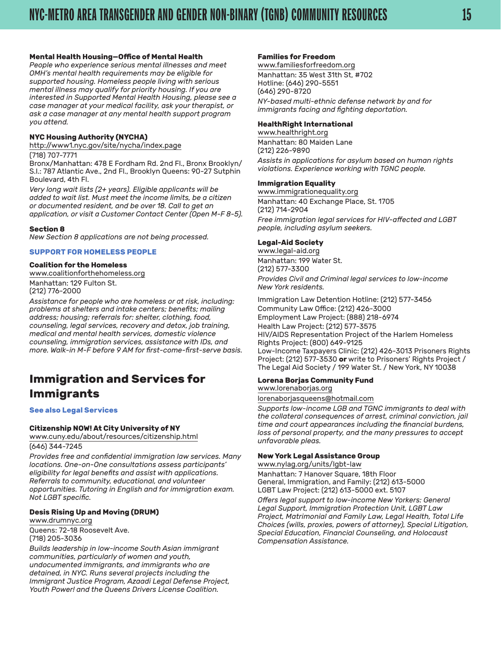#### <span id="page-14-0"></span>**Mental Health Housing—Office of Mental Health**

*People who experience serious mental illnesses and meet OMH's mental health requirements may be eligible for supported housing. Homeless people living with serious mental illness may qualify for priority housing. If you are interested in Supported Mental Health Housing, please see a case manager at your medical facility, ask your therapist, or ask a case manager at any mental health support program you attend.*

#### **NYC Housing Authority (NYCHA)**

<http://www1.nyc.gov/site/nycha/index.page> (718) 707-7771

Bronx/Manhattan: 478 E Fordham Rd. 2nd Fl., Bronx Brooklyn/ S.I.: 787 Atlantic Ave., 2nd Fl., Brooklyn Queens: 90-27 Sutphin Boulevard, 4th Fl.

*Very long wait lists (2+ years). Eligible applicants will be added to wait list. Must meet the income limits, be a citizen or documented resident, and be over 18. Call to get an application, or visit a Customer Contact Center (Open M-F 8-5).*

#### **Section 8**

*New Section 8 applications are not being processed.*

#### **SUPPORT FOR HOMELESS PEOPLE**

#### **Coalition for the Homeless**

[www.coalitionforthehomeless.org](http://www.coalitionforthehomeless.org/) Manhattan: 129 Fulton St.

(212) 776-2000

*Assistance for people who are homeless or at risk, including: problems at shelters and intake centers; benefits; mailing address; housing; referrals for: shelter, clothing, food, counseling, legal services, recovery and detox, job training, medical and mental health services, domestic violence counseling, immigration services, assistance with IDs, and more. Walk-in M-F before 9 AM for first-come-first-serve basis.*

## **Immigration and Services for Immigrants**

**See also Legal Services** 

#### **Citizenship NOW! At City University of NY**

[www.cuny.edu/about/resources/citizenship.html](http://www.cuny.edu/about/resources/citizenship.html) (646) 344-7245

*Provides free and confidential immigration law services. Many locations. One-on-One consultations assess participants' eligibility for legal benefits and assist with applications. Referrals to community, educational, and volunteer opportunities. Tutoring in English and for immigration exam. Not LGBT specific.*

#### **Desis Rising Up and Moving (DRUM)** [www.drumnyc.org](http://www.drumnyc.org/)

Queens: 72-18 Roosevelt Ave. (718) 205-3036

*Builds leadership in low-income South Asian immigrant communities, particularly of women and youth, undocumented immigrants, and immigrants who are detained, in NYC. Runs several projects including the Immigrant Justice Program, Azaadi Legal Defense Project, Youth Power! and the Queens Drivers License Coalition.*

#### **Families for Freedom**

[www.familiesforfreedom.org](http://www.familiesforfreedom.org/) Manhattan: 35 West 31th St, #702 Hotline: (646) 290-5551 (646) 290-8720 *NY-based multi-ethnic defense network by and for immigrants facing and fighting deportation.*

#### **HealthRight International**

[www.healthright.org](http://www.healthright.org/) Manhattan: 80 Maiden Lane (212) 226-9890

*Assists in applications for asylum based on human rights violations. Experience working with TGNC people.*

#### **Immigration Equality**

[www.immigrationequality.org](https://www.immigrationequality.org) Manhattan: 40 Exchange Place, St. 1705 (212) 714-2904 *Free immigration legal services for HIV-affected and LGBT people, including asylum seekers.*

#### **Legal-Aid Society**

[www.legal-aid.org](http://www.legal-aid.org/) Manhattan: 199 Water St. (212) 577-3300 *Provides Civil and Criminal legal services to low-income New York residents.*

Immigration Law Detention Hotline: (212) 577-3456 Community Law Office: (212) 426-3000 Employment Law Project: (888) 218-6974 Health Law Project: (212) 577-3575 HIV/AIDS Representation Project of the Harlem Homeless Rights Project: (800) 649-9125 Low-Income Taxpayers Clinic: (212) 426-3013 Prisoners Rights Project: (212) 577-3530 **or** write to Prisoners' Rights Project / The Legal Aid Society / 199 Water St. / New York, NY 10038

#### **Lorena Borjas Community Fund**

[www.lorenaborjas.org](https://www.lorenaborjas.org/)

[lorenaborjasqueens@hotmail.com](mailto:lorenaborjasqueens@hotmail.com)

*Supports low-income LGB and TGNC immigrants to deal with the collateral consequences of arrest, criminal conviction, jail time and court appearances including the financial burdens, loss of personal property, and the many pressures to accept unfavorable pleas.*

#### **New York Legal Assistance Group**

[www.nylag.org/units/lgbt-law](https://www.nylag.org/units/lgbt-law)

Manhattan: 7 Hanover Square, 18th Floor General, Immigration, and Family: (212) 613-5000 LGBT Law Project: (212) 613-5000 ext. 5107

*Offers legal support to low-income New Yorkers: General Legal Support, Immigration Protection Unit, LGBT Law Project, Matrimonial and Family Law, Legal Health, Total Life Choices (wills, proxies, powers of attorney), Special Litigation, Special Education, Financial Counseling, and Holocaust Compensation Assistance.*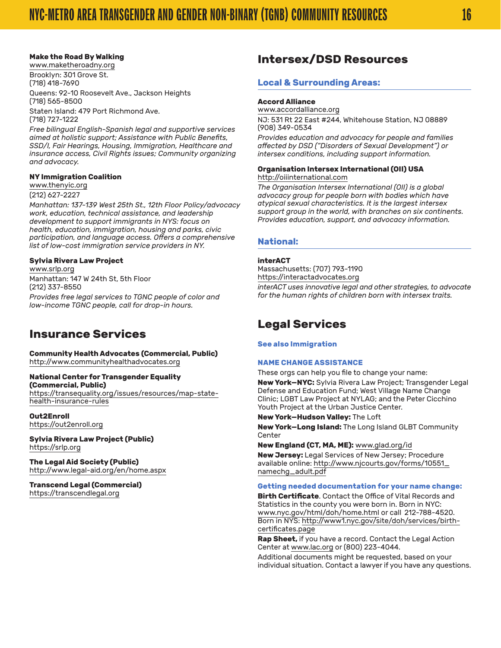#### <span id="page-15-0"></span>**Make the Road By Walking**

[www.maketheroadny.org](http://www.maketheroadny.org/) Brooklyn: 301 Grove St.

(718) 418-7690 Queens: 92-10 Roosevelt Ave., Jackson Heights (718) 565-8500 Staten Island: 479 Port Richmond Ave. (718) 727-1222

*Free bilingual English-Spanish legal and supportive services aimed at holistic support; Assistance with Public Benefits, SSD/I, Fair Hearings, Housing, Immigration, Healthcare and insurance access, Civil Rights issues; Community organizing and advocacy.*

#### **NY Immigration Coalition**

[www.thenyic.org](http://www.thenyic.org/) (212) 627-2227

*Manhattan: 137-139 West 25th St., 12th Floor Policy/advocacy work, education, technical assistance, and leadership development to support immigrants in NYS: focus on health, education, immigration, housing and parks, civic participation, and language access. Offers a comprehensive list of low-cost immigration service providers in NY.*

#### **Sylvia Rivera Law Project**

[www.srlp.org](http://www.srlp.org/) Manhattan: 147 W 24th St, 5th Floor (212) 337-8550 *Provides free legal services to TGNC people of color and low-income TGNC people, call for drop-in hours.*

## **Insurance Services**

**Community Health Advocates (Commercial, Public)** [http://www.communityhealthadvocates.org](http://www.communityhealthadvocates.org/)

#### **National Center for Transgender Equality (Commercial, Public)**

[https://transequality.org/issues/resources/map-state](https://transequality.org/issues/resources/map-state-health-insurance-rules)[health-insurance-rules](https://transequality.org/issues/resources/map-state-health-insurance-rules)

**Out2Enroll** [https://out2enroll.org](https://out2enroll.org/)

**Sylvia Rivera Law Project (Public)** <https://srlp.org>

**The Legal Aid Society (Public)** <http://www.legal-aid.org/en/home.aspx>

#### **Transcend Legal (Commercial)** [https://transcendlegal.org](https://transcendlegal.org/)

## **Intersex/DSD Resources**

#### **Local & Surrounding Areas:**

#### **Accord Alliance**

[www.accordalliance.org](http://www.accordalliance.org/) NJ: 531 Rt 22 East #244, Whitehouse Station, NJ 08889 (908) 349-0534

*Provides education and advocacy for people and families affected by DSD ("Disorders of Sexual Development") or intersex conditions, including support information.*

#### **Organisation Intersex International (OII) USA** [http://oiiinternational.com](http://oiiinternational.com/)

*The Organisation Intersex International (OII) is a global advocacy group for people born with bodies which have atypical sexual characteristics. It is the largest intersex support group in the world, with branches on six continents. Provides education, support, and advocacy information.*

#### **National:**

#### **interACT**

Massachusetts: (707) 793-1190 https://interactadvocates.org *interACT uses innovative legal and other strategies, to advocate for the human rights of children born with intersex traits.*

## **Legal Services**

**See also Immigration** 

#### **NAME CHANGE ASSISTANCE**

These orgs can help you file to change your name:

**New York—NYC:** Sylvia Rivera Law Project; Transgender Legal Defense and Education Fund; West Village Name Change Clinic; LGBT Law Project at NYLAG; and the Peter Cicchino Youth Project at the Urban Justice Center.

**New York—Hudson Valley:** The Loft

**New York—Long Island:** The Long Island GLBT Community Center

**New England (CT, MA, ME):** [www.glad.org/id](https://www.glad.org/id/)

**New Jersey:** Legal Services of New Jersey; Procedure available online: [http://www.njcourts.gov/forms/10551\\_](http://www.njcourts.gov/forms/10551_namechg_adult.pdf) [namechg\\_adult.pdf](http://www.njcourts.gov/forms/10551_namechg_adult.pdf)

#### **Getting needed documentation for your name change:**

**Birth Certificate**. Contact the Office of Vital Records and Statistics in the county you were born in. Born in NYC: [www.nyc.gov/html/doh/home.html](http://www.nyc.gov/html/doh/home.html) or call 212-788-4520. Born in NYS: [http://www1.nyc.gov/site/doh/services/birth](http://www1.nyc.gov/site/doh/services/birth-certificates.page)[certificates.page](http://www1.nyc.gov/site/doh/services/birth-certificates.page)

**Rap Sheet,** if you have a record. Contact the Legal Action Center at [www.lac.org](http://www.lac.org/) or (800) 223-4044.

Additional documents might be requested, based on your individual situation. Contact a lawyer if you have any questions.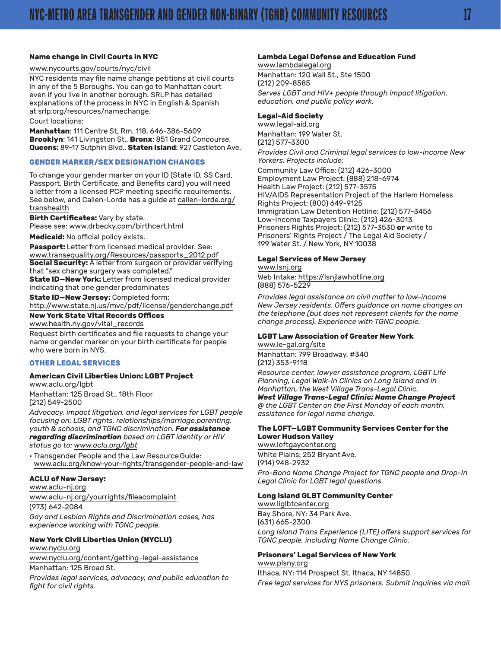#### **Name change in Civil Courts in NYC**

#### [www.nycourts.gov/courts/nyc/civil](http://www.nycourts.gov/courts/nyc/civil/)

NYC residents may file name change petitions at civil courts in any of the 5 Boroughs. You can go to Manhattan court even if you live in another borough. SRLP has detailed explanations of the process in NYC in English & Spanish at [srlp.org/resources/namechange.](http://srlp.org/resources/namechange)

#### Court locations:

**Manhattan**: 111 Centre St, Rm. 118, 646-386-5609 **Brooklyn**: 141 Livingston St., **Bronx**: 851 Grand Concourse, **Queens:** 89-17 Sutphin Blvd., **Staten Island**: 927 Castleton Ave.

#### **GENDER MARKER/SEX DESIGNATION CHANGES**

To change your gender marker on your ID (State ID, SS Card, Passport, Birth Certificate, and Benefits card) you will need a letter from a licensed PCP meeting specific requirements. See below, and Callen-Lorde has a guide at [callen-lorde.org/](http://callen-lorde.org/transhealth) [transhealth](http://callen-lorde.org/transhealth)

**Birth Certificates:** Vary by state.

Please see: [www.drbecky.com/birthcert.html](http://www.drbecky.com/birthcert.html)

**Medicaid:** No official policy exists.

**Passport:** Letter from licensed medical provider. See: [www.transequality.org/Resources/passports\\_2012.pdf](http://transequality.org/Resources/passports_2012.pdf) **Social Security:** A letter from surgeon or provider verifying that "sex change surgery was completed."

**State ID—New York:** Letter from licensed medical provider indicating that one gender predominates

**State ID—New Jersey:** Completed form: <http://www.state.nj.us/mvc/pdf/license/genderchange.pdf>

**New York State Vital Records Offices** [www.health.ny.gov/vital\\_records](https://www.health.ny.gov/vital_records/)

Request birth certificates and file requests to change your name or gender marker on your birth certificate for people who were born in NYS.

#### **OTHER LEGAL SERVICES**

#### **American Civil Liberties Union: LGBT Project** [www.aclu.org/lgbt](http://www.aclu.org/lgbt/)

Manhattan: 125 Broad St., 18th Floor (212) 549-2500

*Advocacy, impact litigation, and legal services for LGBT people focusing on: LGBT rights, relationships/marriage,parenting, youth & schools, and TGNC discrimination. For assistance regarding discrimination based on LGBT identity or HIV status go to: [www.aclu.org/lgbt](http://www.aclu.org/lgbt/)*

• Transgender People and the Law Resource Guide: [www.aclu.org/know-your-rights/transgender-people-and-law](https://www.aclu.org/know-your-rights/transgender-people-and-law)

#### **ACLU of New Jersey:**

[www.aclu-nj.org](http://www.aclu-nj.org/) [www.aclu-nj.org/yourrights/fileacomplaint](http://www.aclu-nj.org/yourrights/fileacomplaint/) (973) 642-2084 *Gay and Lesbian Rights and Discrimination cases, has experience working with TGNC people.*

#### **New York Civil Liberties Union (NYCLU)** [www.nyclu.org](http://www.nyclu.org/)

[www.nyclu.org/content/getting-legal-assistance](http://www.nyclu.org/content/getting-legal-assistance)

Manhattan: 125 Broad St.

*Provides legal services, advocacy, and public education to fight for civil rights.*

#### **Lambda Legal Defense and Education Fund**

[www.lambdalegal.org](http://www.lambdalegal.org/) Manhattan: 120 Wall St., Ste 1500 (212) 209-8585 *Serves LGBT and HIV+ people through impact litigation, education, and public policy work.*

#### **Legal-Aid Society**

[www.legal-aid.org](http://www.legal-aid.org/) Manhattan: 199 Water St. (212) 577-3300 *Provides Civil and Criminal legal services to low-income New* 

*Yorkers. Projects include:*

Community Law Office: (212) 426-3000 Employment Law Project: (888) 218-6974 Health Law Project: (212) 577-3575 HIV/AIDS Representation Project of the Harlem Homeless Rights Project: (800) 649-9125 Immigration Law Detention Hotline: (212) 577-3456 Low-Income Taxpayers Clinic: (212) 426-3013 Prisoners Rights Project: (212) 577-3530 **or** write to Prisoners' Rights Project / The Legal Aid Society / 199 Water St. / New York, NY 10038

#### **Legal Services of New Jersey**

[www.lsnj.org](http://www.lsnj.org/)

Web Intake: [https://lsnjlawhotline.org](https://lsnjlawhotline.org/) (888) 576-5229

*Provides legal assistance on civil matter to low-income New Jersey residents. Offers guidance on name changes on the telephone (but does not represent clients for the name change process). Experience with TGNC people.*

## **LGBT Law Association of Greater New York**

[www.le-gal.org/site](http://www.le-gal.org/site/)

Manhattan: 799 Broadway, #340 (212) 353-9118

*Resource center, lawyer assistance program, LGBT Life Planning, Legal Walk-In Clinics on Long Island and in Manhattan, the West Village Trans-Legal Clinic. West Village Trans-Legal Clinic: Name Change Project*

*@ the LGBT Center on the First Monday of each month, assistance for legal name change.*

#### **The LOFT—LGBT Community Services Center for the Lower Hudson Valley**

[www.loftgaycenter.org](http://www.loftgaycenter.org/) White Plains: 252 Bryant Ave. (914) 948-2932

*Pro-Bono Name Change Project for TGNC people and Drop-In Legal Clinic for LGBT legal questions.*

#### **Long Island GLBT Community Center**

[www.liglbtcenter.org](http://www.liglbtcenter.org/) Bay Shore, NY: 34 Park Ave. (631) 665-2300 *Long Island Trans Experience (LITE) offers support services for TGNC people, including Name Change Clinic.*

#### **Prisoners' Legal Services of New York**

[www.plsny.org](http://www.plsny.org/) Ithaca, NY: 114 Prospect St. Ithaca, NY 14850 *Free legal services for NYS prisoners. Submit inquiries via mail.*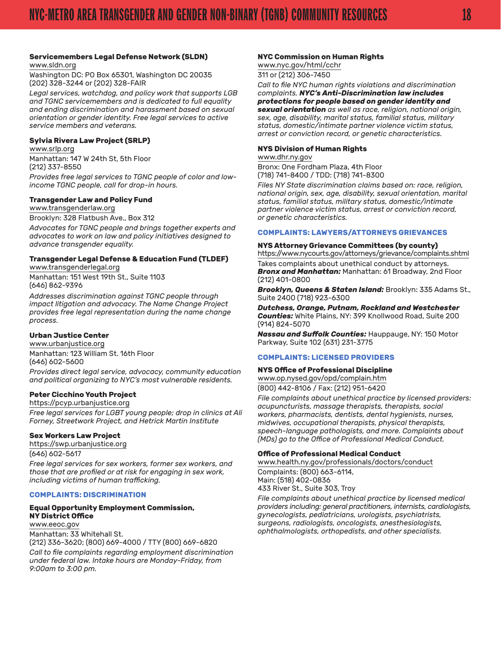#### **Servicemembers Legal Defense Network (SLDN)** [www.sldn.org](http://www.sldn.org/)

Washington DC: PO Box 65301, Washington DC 20035 (202) 328-3244 or (202) 328-FAIR

*Legal services, watchdog, and policy work that supports LGB and TGNC servicemembers and is dedicated to full equality and ending discrimination and harassment based on sexual orientation or gender identity. Free legal services to active service members and veterans.*

#### **Sylvia Rivera Law Project (SRLP)**

[www.srlp.org](http://www.srlp.org/) Manhattan: 147 W 24th St, 5th Floor (212) 337-8550 *Provides free legal services to TGNC people of color and lowincome TGNC people, call for drop-in hours.*

#### **Transgender Law and Policy Fund**

[www.transgenderlaw.org](http://www.transgenderlaw.org/)

Brooklyn: 328 Flatbush Ave., Box 312

*Advocates for TGNC people and brings together experts and advocates to work on law and policy initiatives designed to advance transgender equality.*

## **Transgender Legal Defense & Education Fund (TLDEF)**

[www.transgenderlegal.org](http://www.transgenderlegal.org/) Manhattan: 151 West 19th St., Suite 1103 (646) 862-9396

*Addresses discrimination against TGNC people through impact litigation and advocacy. The Name Change Project provides free legal representation during the name change process.*

#### **Urban Justice Center**

[www.urbanjustice.org](http://www.urbanjustice.org/) Manhattan: 123 William St. 16th Floor (646) 602-5600

*Provides direct legal service, advocacy, community education and political organizing to NYC's most vulnerable residents.*

#### **Peter Cicchino Youth Project**

[https://pcyp.urbanjustice.org](https://pcyp.urbanjustice.org/) *Free legal services for LGBT young people; drop in clinics at Ali Forney, Streetwork Project, and Hetrick Martin Institute*

#### **Sex Workers Law Project**

[https://swp.urbanjustice.org](https://swp.urbanjustice.org/) (646) 602-5617

*Free legal services for sex workers, former sex workers, and those that are profiled or at risk for engaging in sex work, including victims of human trafficking.*

#### **COMPLAINTS: DISCRIMINATION**

#### **Equal Opportunity Employment Commission, NY District Office**

[www.eeoc.gov](http://www.eeoc.gov/) Manhattan: 33 Whitehall St. (212) 336-3620; (800) 669-4000 / TTY (800) 669-6820 *Call to file complaints regarding employment discrimination* 

*under federal law. Intake hours are Monday-Friday, from 9:00am to 3:00 pm.*

#### **NYC Commission on Human Rights**

[www.nyc.gov/html/cchr](http://www.nyc.gov/html/cchr/) 311 or (212) 306-7450

*Call to file NYC human rights violations and discrimination complaints. NYC's Anti-Discrimination law includes protections for people based on gender identity and sexual orientation as well as race, religion, national origin, sex, age, disability, marital status, familial status, military status, domestic/intimate partner violence victim status, arrest or conviction record, or genetic characteristics.*

#### **NYS Division of Human Rights**

[www.dhr.ny.gov](http://www.dhr.ny.gov/)

Bronx: One Fordham Plaza, 4th Floor (718) 741-8400 / TDD: (718) 741-8300

*Files NY State discrimination claims based on: race, religion, national origin, sex, age, disability, sexual orientation, marital status, familial status, military status, domestic/intimate partner violence victim status, arrest or conviction record, or genetic characteristics.*

#### **COMPLAINTS: LAWYERS/ATTORNEYS GRIEVANCES**

#### **NYS Attorney Grievance Committees (by county)**

<https://www.nycourts.gov/attorneys/grievance/complaints.shtml> Takes complaints about unethical conduct by attorneys. *Bronx and Manhattan:* Manhattan: 61 Broadway, 2nd Floor (212) 401-0800

*Brooklyn, Queens & Staten Island:* Brooklyn: 335 Adams St., Suite 2400 (718) 923-6300

*Dutchess, Orange, Putnam, Rockland and Westchester Counties:* White Plains, NY: 399 Knollwood Road, Suite 200 (914) 824-5070

*Nassau and Suffolk Counties:* Hauppauge, NY: 150 Motor Parkway, Suite 102 (631) 231-3775

#### **COMPLAINTS: LICENSED PROVIDERS**

#### **NYS Office of Professional Discipline**

[www.op.nysed.gov/opd/complain.htm](http://www.op.nysed.gov/opd/complain.htm) (800) 442-8106 / Fax: (212) 951-6420

*File complaints about unethical practice by licensed providers: acupuncturists, massage therapists, therapists, social workers, pharmacists, dentists, dental hygienists, nurses, midwives, occupational therapists, physical therapists, speech-language pathologists, and more. Complaints about (MDs) go to the Office of Professional Medical Conduct.*

#### **Office of Professional Medical Conduct**

[www.health.ny.gov/professionals/doctors/conduct](http://www.health.ny.gov/professionals/doctors/conduct/)

Complaints: (800) 663-6114, Main: (518) 402-0836 433 River St., Suite 303, Troy

*File complaints about unethical practice by licensed medical providers including: general practitioners, internists, cardiologists, gynecologists, pediatricians, urologists, psychiatrists, surgeons, radiologists, oncologists, anesthesiologists, ophthalmologists, orthopedists, and other specialists.*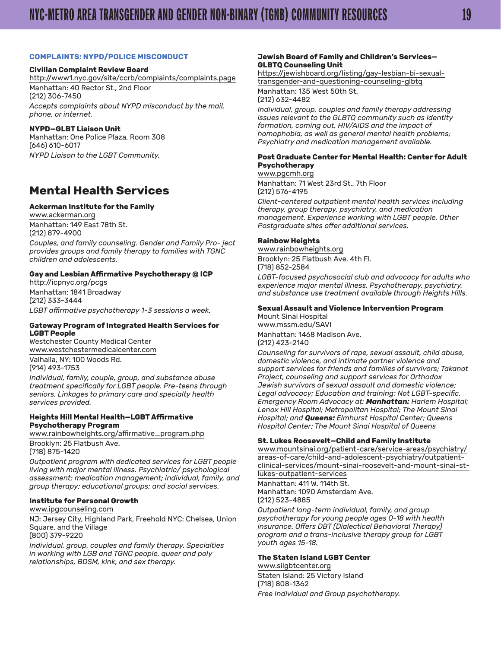#### <span id="page-18-0"></span>**COMPLAINTS: NYPD/POLICE MISCONDUCT**

#### **Civilian Complaint Review Board**

<http://www1.nyc.gov/site/ccrb/complaints/complaints.page> Manhattan: 40 Rector St., 2nd Floor (212) 306-7450 *Accepts complaints about NYPD misconduct by the mail, phone, or internet.*

#### **NYPD—GLBT Liaison Unit**

Manhattan: One Police Plaza, Room 308 (646) 610-6017 *NYPD Liaison to the LGBT Community.*

## **Mental Health Services**

#### **Ackerman Institute for the Family**

[www.ackerman.org](http://www.ackerman.org/) Manhattan: 149 East 78th St. (212) 879-4900

*Couples, and family counseling. Gender and Family Pro- ject provides groups and family therapy to families with TGNC children and adolescents.*

#### **Gay and Lesbian Affirmative Psychotherapy @ ICP** [http://icpnyc.org/pcgs](http://icpnyc.org/pcgs/)

Manhattan: 1841 Broadway (212) 333-3444 *LGBT affirmative psychotherapy 1-3 sessions a week.*

#### **Gateway Program of Integrated Health Services for LGBT People**

Westchester County Medical Center [www.westchestermedicalcenter.com](http://www.westchestermedicalcenter.com)

Valhalla, NY: 100 Woods Rd. (914) 493-1753

*Individual, family, couple, group, and substance abuse treatment specifically for LGBT people. Pre-teens through seniors. Linkages to primary care and specialty health services provided.*

#### **Heights Hill Mental Health—LGBT Affirmative Psychotherapy Program**

[www.rainbowheights.org/affirmative\\_program.php](http://www.rainbowheights.org/affirmative_program.php) Brooklyn: 25 Flatbush Ave.

(718) 875-1420

*Outpatient program with dedicated services for LGBT people living with major mental illness. Psychiatric/ psychological assessment; medication management; individual, family, and group therapy; educational groups; and social services.*

#### **Institute for Personal Growth**

[www.ipgcounseling.com](http://www.ipgcounseling.com/)

NJ: Jersey City, Highland Park, Freehold NYC: Chelsea, Union Square, and the Village (800) 379-9220

*Individual, group, couples and family therapy. Specialties in working with LGB and TGNC people, queer and poly relationships, BDSM, kink, and sex therapy.*

#### **Jewish Board of Family and Children's Services— GLBTQ Counseling Unit**

[https://jewishboard.org/listing/gay-lesbian-bi-sexual](https://jewishboard.org/listing/gay-lesbian-bi-sexual-transgender-and-questioning-counseling-glbtq/)[transgender-and-questioning-counseling-glbtq](https://jewishboard.org/listing/gay-lesbian-bi-sexual-transgender-and-questioning-counseling-glbtq/) Manhattan: 135 West 50th St.

(212) 632-4482

*Individual, group, couples and family therapy addressing issues relevant to the GLBTQ community such as identity formation, coming out, HIV/AIDS and the impact of homophobia, as well as general mental health problems; Psychiatry and medication management available.*

#### **Post Graduate Center for Mental Health: Center for Adult Psychotherapy**

[www.pgcmh.org](https://www.pgcmh.org) Manhattan: 71 West 23rd St., 7th Floor (212) 576-4195

*Client-centered outpatient mental health services including therapy, group therapy, psychiatry, and medication management. Experience working with LGBT people. Other Postgraduate sites offer additional services.*

#### **Rainbow Heights**

[www.rainbowheights.org](http://www.rainbowheights.org/) Brooklyn: 25 Flatbush Ave. 4th Fl. (718) 852-2584

*LGBT-focused psychosocial club and advocacy for adults who experience major mental illness. Psychotherapy, psychiatry, and substance use treatment available through Heights Hills.*

#### **Sexual Assault and Violence Intervention Program**

Mount Sinai Hospital [www.mssm.edu/SAVI](http://www.mssm.edu/SAVI/) Manhattan: 1468 Madison Ave. (212) 423-2140

*Counseling for survivors of rape, sexual assault, child abuse, domestic violence, and intimate partner violence and support services for friends and families of survivors; Takanot Project, counseling and support services for Orthodox Jewish survivors of sexual assault and domestic violence; Legal advocacy; Education and training; Not LGBT-specific. Emergency Room Advocacy at: Manhattan: Harlem Hospital; Lenox Hill Hospital; Metropolitan Hospital; The Mount Sinai Hospital; and Queens: Elmhurst Hospital Center; Queens Hospital Center; The Mount Sinai Hospital of Queens*

#### **St. Lukes Roosevelt—Child and Family Institute**

[www.mountsinai.org/patient-care/service-areas/psychiatry/](http://www.mountsinai.org/patient-care/service-areas/psychiatry/areas-of-care/child-and-adolescent-psychiatry/outpatient-clinical-services/mount-sinai-roosevelt-and-mount-sinai-st-lukes-outpatient-services) [areas-of-care/child-and-adolescent-psychiatry/outpatient](http://www.mountsinai.org/patient-care/service-areas/psychiatry/areas-of-care/child-and-adolescent-psychiatry/outpatient-clinical-services/mount-sinai-roosevelt-and-mount-sinai-st-lukes-outpatient-services)[clinical-services/mount-sinai-roosevelt-and-mount-sinai-st](http://www.mountsinai.org/patient-care/service-areas/psychiatry/areas-of-care/child-and-adolescent-psychiatry/outpatient-clinical-services/mount-sinai-roosevelt-and-mount-sinai-st-lukes-outpatient-services)[lukes-outpatient-services](http://www.mountsinai.org/patient-care/service-areas/psychiatry/areas-of-care/child-and-adolescent-psychiatry/outpatient-clinical-services/mount-sinai-roosevelt-and-mount-sinai-st-lukes-outpatient-services)

Manhattan: 411 W. 114th St. Manhattan: 1090 Amsterdam Ave. (212) 523-4885

*Outpatient long-term individual, family, and group psychotherapy for young people ages 0-18 with health insurance. Offers DBT (Dialectical Behavioral Therapy) program and a trans-inclusive therapy group for LGBT youth ages 15-18.*

#### **The Staten Island LGBT Center**

[www.silgbtcenter.org](http://www.silgbtcenter.org/) Staten Island: 25 Victory Island (718) 808-1362 *Free Individual and Group psychotherapy.*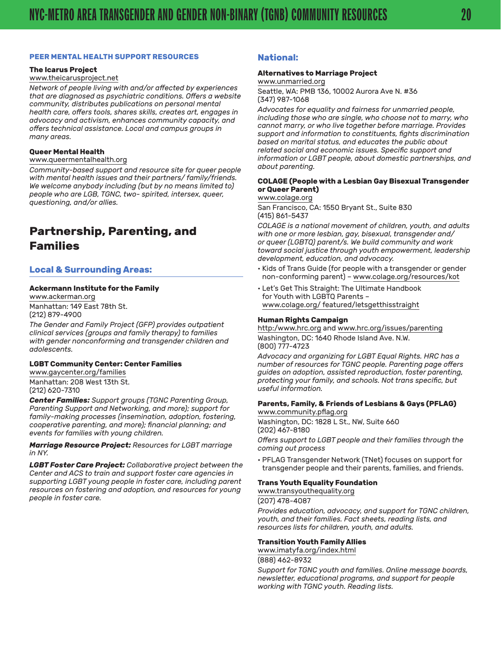#### <span id="page-19-0"></span>**PEER MENTAL HEALTH SUPPORT RESOURCES**

#### **The Icarus Project**

#### [www.theicarusproject.net](http://theicarusproject.net/)

*Network of people living with and/or affected by experiences that are diagnosed as psychiatric conditions. Offers a website community, distributes publications on personal mental health care, offers tools, shares skills, creates art, engages in advocacy and activism, enhances community capacity, and offers technical assistance. Local and campus groups in many areas.*

#### **Queer Mental Health**

#### [www.queermentalhealth.org](http://www.queermentalhealth.org/)

*Community-based support and resource site for queer people with mental health issues and their partners/ family/friends. We welcome anybody including (but by no means limited to) people who are LGB, TGNC, two- spirited, intersex, queer, questioning, and/or allies.*

## **Partnership, Parenting, and Families**

#### **Local & Surrounding Areas:**

#### **Ackermann Institute for the Family**

[www.ackerman.org](http://www.ackerman.org/) Manhattan: 149 East 78th St. (212) 879-4900

*The Gender and Family Project (GFP) provides outpatient clinical services (groups and family therapy) to families with gender nonconforming and transgender children and adolescents.*

#### **LGBT Community Center: Center Families**

[www.gaycenter.org/families](http://www.gaycenter.org/families) Manhattan: 208 West 13th St. (212) 620-7310

*Center Families: Support groups (TGNC Parenting Group, Parenting Support and Networking, and more); support for family-making processes (insemination, adoption, fostering, cooperative parenting, and more); financial planning; and events for families with young children.*

*Marriage Resource Project: Resources for LGBT marriage in NY.*

*LGBT Foster Care Project: Collaborative project between the Center and ACS to train and support foster care agencies in supporting LGBT young people in foster care, including parent resources on fostering and adoption, and resources for young people in foster care.*

#### **National:**

#### **Alternatives to Marriage Project**

#### [www.unmarried.org](http://www.unmarried.org/)

Seattle, WA: PMB 136, 10002 Aurora Ave N. #36 (347) 987-1068

*Advocates for equality and fairness for unmarried people, including those who are single, who choose not to marry, who cannot marry, or who live together before marriage. Provides support and information to constituents, fights discrimination based on marital status, and educates the public about related social and economic issues. Specific support and information or LGBT people, about domestic partnerships, and about parenting.*

#### **COLAGE (People with a Lesbian Gay Bisexual Transgender or Queer Parent)**

[www.colage.org](http://www.colage.org/)

San Francisco, CA: 1550 Bryant St., Suite 830 (415) 861-5437

*COLAGE is a national movement of children, youth, and adults with one or more lesbian, gay, bisexual, transgender and/ or queer (LGBTQ) parent/s. We build community and work toward social justice through youth empowerment, leadership development, education, and advocacy.*

- Kids of Trans Guide (for people with a transgender or gender non-conforming parent) – [www.colage.org/resources/kot](http://www.colage.org/resources/kot/)
- Let's Get This Straight: The Ultimate Handbook for Youth with LGBTQ Parents – [www.colage.org/ featured/letsgetthisstraight](http://www.colage.org/featured/letsgetthisstraight/)

#### **Human Rights Campaign**

[http:/www.hrc.org](http://www.hrc.org/) and [www.hrc.org/issues/parenting](http://www.hrc.org/issues/parenting) Washington, DC: 1640 Rhode Island Ave. N.W. (800) 777-4723

*Advocacy and organizing for LGBT Equal Rights. HRC has a number of resources for TGNC people. Parenting page offers guides on adoption, assisted reproduction, foster parenting, protecting your family, and schools. Not trans specific, but useful information.*

#### **Parents, Family, & Friends of Lesbians & Gays (PFLAG)** [www.community.pflag.org](http://community.pflag.org/)

Washington, DC: 1828 L St., NW, Suite 660 (202) 467-8180

*Offers support to LGBT people and their families through the coming out process*

• PFLAG Transgender Network (TNet) focuses on support for transgender people and their parents, families, and friends.

#### **Trans Youth Equality Foundation**

[www.transyouthequality.org](http://www.transyouthequality.org/)

#### (207) 478-4087

*Provides education, advocacy, and support for TGNC children, youth, and their families. Fact sheets, reading lists, and resources lists for children, youth, and adults.*

#### **Transition Youth Family Allies**

[www.imatyfa.org/index.html](http://imatyfa.org/index.html)

(888) 462-8932

*Support for TGNC youth and families. Online message boards, newsletter, educational programs, and support for people working with TGNC youth. Reading lists.*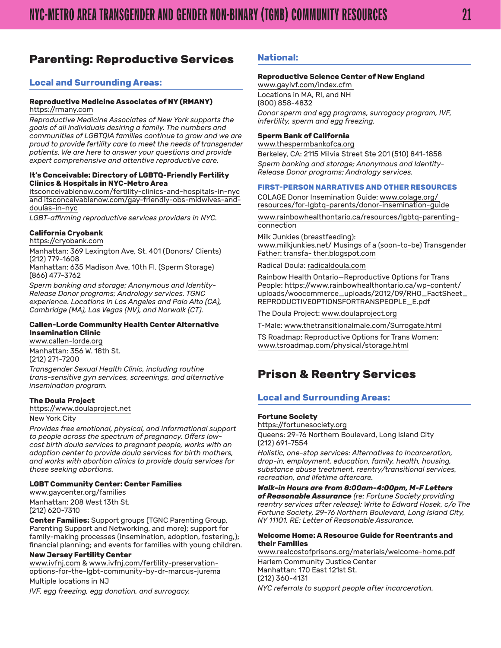## <span id="page-20-0"></span>**Parenting: Reproductive Services**

#### **Local and Surrounding Areas:**

#### **Reproductive Medicine Associates of NY (RMANY)**

https://rmany.com

*Reproductive Medicine Associates of New York supports the goals of all individuals desiring a family. The numbers and communities of LGBTQIA families continue to grow and we are proud to provide fertility care to meet the needs of transgender patients. We are here to answer your questions and provide expert comprehensive and attentive reproductive care.*

#### **It's Conceivable: Directory of LGBTQ-Friendly Fertility Clinics & Hospitals in NYC-Metro Area**

[itsconceivablenow.com/fertility-clinics-and-hospitals-in-nyc](http://itsconceivablenow.com/fertility-clinics-and-hospitals-in-nyc) and [itsconceivablenow.com/gay-friendly-obs-midwives-and](http://itsconceivablenow.com/gay-friendly-obs-midwives-and-doulas-in-nyc/)[doulas-in-nyc](http://itsconceivablenow.com/gay-friendly-obs-midwives-and-doulas-in-nyc/)

*LGBT-affirming reproductive services providers in NYC.*

#### **California Cryobank**

<https://cryobank.com>

Manhattan: 369 Lexington Ave, St. 401 (Donors/ Clients) (212) 779-1608

Manhattan: 635 Madison Ave, 10th Fl. (Sperm Storage) (866) 477-3762

*Sperm banking and storage; Anonymous and Identity-Release Donor programs; Andrology services. TGNC experience. Locations in Los Angeles and Palo Alto (CA), Cambridge (MA), Las Vegas (NV), and Norwalk (CT).*

#### **Callen-Lorde Community Health Center Alternative Insemination Clinic**

[www.callen-lorde.org](http://www.callen-lorde.org/) Manhattan: 356 W. 18th St.

(212) 271-7200

*Transgender Sexual Health Clinic, including routine trans-sensitive gyn services, screenings, and alternative insemination program.*

#### **The Doula Project**

[https://www.doulaproject.net](https://www.doulaproject.net/)

#### New York City

*Provides free emotional, physical, and informational support to people across the spectrum of pregnancy. Offers lowcost birth doula services to pregnant people, works with an adoption center to provide doula services for birth mothers, and works with abortion clinics to provide doula services for those seeking abortions.*

#### **LGBT Community Center: Center Families**

[www.gaycenter.org/families](http://www.gaycenter.org/families) Manhattan: 208 West 13th St. (212) 620-7310

**Center Families:** Support groups (TGNC Parenting Group, Parenting Support and Networking, and more); support for family-making processes (insemination, adoption, fostering,); financial planning; and events for families with young children.

#### **New Jersey Fertility Center**

[www.ivfnj.com](http://www.ivfnj.com) & [www.ivfnj.com/fertility-preservation](http://www.ivfnj.com/fertility-preservation-options-for-the-lgbt-community-by-dr-marcus-jurema)[options-for-the-lgbt-community-by-dr-marcus-jurema](http://www.ivfnj.com/fertility-preservation-options-for-the-lgbt-community-by-dr-marcus-jurema)

Multiple locations in NJ *IVF, egg freezing, egg donation, and surrogacy.*

#### **National:**

#### **Reproductive Science Center of New England**

[www.gayivf.com/index.cfm](http://www.gayivf.com/index.cfm) Locations in MA, RI, and NH (800) 858-4832 *Donor sperm and egg programs, surrogacy program, IVF, infertility, sperm and egg freezing.*

#### **Sperm Bank of California**

[www.thespermbankofca.org](http://www.thespermbankofca.org/) Berkeley, CA: 2115 Milvia Street Ste 201 (510) 841-1858 *Sperm banking and storage; Anonymous and Identity-Release Donor programs; Andrology services.*

#### **FIRST-PERSON NARRATIVES AND OTHER RESOURCES**

COLAGE Donor Insemination Guide: [www.colage.org/](http://www.colage.org/resources/for-lgbtq-parents/donor-insemination-guide/) [resources/for-lgbtq-parents/donor-insemination-guide](http://www.colage.org/resources/for-lgbtq-parents/donor-insemination-guide/)

[www.rainbowhealthontario.ca/resources/lgbtq-parenting](https://www.rainbowhealthontario.ca/resources/lgbtq-parenting-connection/)[connection](https://www.rainbowhealthontario.ca/resources/lgbtq-parenting-connection/)

Milk Junkies (breastfeeding): [www.milkjunkies.net/](http://www.milkjunkies.net/) Musings of a (soon-to-be) Transgender Father: [transfa-](http://transfather.blogspot.com/) [ther.blogspot.com](http://transfather.blogspot.com/)

#### Radical Doula: [radicaldoula.com](http://radicaldoula.com/)

Rainbow Health Ontario—Reproductive Options for Trans People: [https://www.rainbowhealthontario.ca/wp-content/](https://www.rainbowhealthontario.ca/wp-content/uploads/woocommerce_uploads/2012/09/RHO_FactSheet_REPRODUCTIVEOPTIONSFORTRANSPEOPLE_E.pdf) [uploads/woocommerce\\_uploads/2012/09/RHO\\_FactSheet\\_](https://www.rainbowhealthontario.ca/wp-content/uploads/woocommerce_uploads/2012/09/RHO_FactSheet_REPRODUCTIVEOPTIONSFORTRANSPEOPLE_E.pdf) [REPRODUCTIVEOPTIONSFORTRANSPEOPLE\\_E.pdf](https://www.rainbowhealthontario.ca/wp-content/uploads/woocommerce_uploads/2012/09/RHO_FactSheet_REPRODUCTIVEOPTIONSFORTRANSPEOPLE_E.pdf)

The Doula Project: [www.doulaproject.org](http://www.doulaproject.org/)

T-Male: [www.thetransitionalmale.com/Surrogate.html](http://www.thetransitionalmale.com/Surrogate.html)

TS Roadmap: Reproductive Options for Trans Women[:](http://www.tsroadmap.com/physical/storage.html) [www.tsroadmap.com/physical/storage.html](http://www.tsroadmap.com/physical/storage.html)

## **Prison & Reentry Services**

#### **Local and Surrounding Areas:**

#### **Fortune Society**

<https://fortunesociety.org> Queens: 29-76 Northern Boulevard, Long Island City (212) 691-7554

*Holistic, one-stop services: Alternatives to Incarceration, drop-in, employment, education, family, health, housing, substance abuse treatment, reentry/transitional services, recreation, and lifetime aftercare.*

*Walk-in Hours are from 8:00am-4:00pm, M-F Letters of Reasonable Assurance (re: Fortune Society providing reentry services after release): Write to Edward Hosek, c/o The Fortune Society, 29-76 Northern Boulevard, Long Island City, NY 11101, RE: Letter of Reasonable Assurance.*

#### **Welcome Home: A Resource Guide for Reentrants and their Families**

[www.realcostofprisons.org/materials/welcome-home.pdf](http://realcostofprisons.org/materials/welcome-home.pdf)

Harlem Community Justice Center Manhattan: 170 East 121st St. (212) 360-4131 *NYC referrals to support people after incarceration.*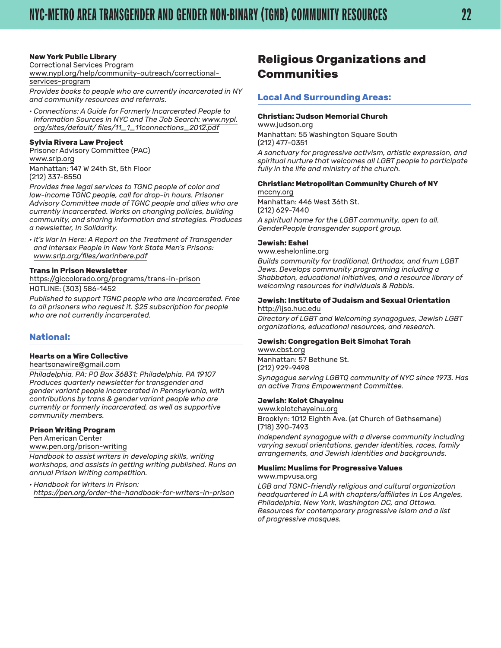#### <span id="page-21-0"></span>**New York Public Library**

Correctional Services Program

[www.nypl.org/help/community-outreach/correctional](http://www.nypl.org/help/community-outreach/correctional-services-program)[services-program](http://www.nypl.org/help/community-outreach/correctional-services-program)

*Provides books to people who are currently incarcerated in NY and community resources and referrals.*

*· Connections: A Guide for Formerly Incarcerated People to Information Sources in NYC and The Job Search: [www.nypl.](http://www.nypl.org/sites/default/files/11_1_11__connections_2012.pdf) [org/sites/default/](http://www.nypl.org/sites/default/files/11_1_11__connections_2012.pdf) [files/11\\_1\\_11connections\\_2012.pdf](http://www.nypl.org/sites/default/files/11_1_11__connections_2012.pdf)*

#### **Sylvia Rivera Law Project**

Prisoner Advisory Committee (PAC) [www.srlp.org](http://www.srlp.org/) Manhattan: 147 W 24th St, 5th Floor

(212) 337-8550

*Provides free legal services to TGNC people of color and low-income TGNC people, call for drop-in hours. Prisoner Advisory Committee made of TGNC people and allies who are currently incarcerated. Works on changing policies, building community, and sharing information and strategies. Produces a newsletter, In Solidarity.*

*· It's War In Here: A Report on the Treatment of Transgender and Intersex People in New York State Men's Prisons: [www.srlp.org/files/warinhere.pdf](http://srlp.org/files/warinhere.pdf)*

#### **Trans in Prison Newsletter**

[https://giccolorado.org/programs/trans-in-prison](https://giccolorado.org/programs/trans-in-prison/)

HOTLINE: (303) 586-1452

*Published to support TGNC people who are incarcerated. Free to all prisoners who request it. \$25 subscription for people who are not currently incarcerated.*

#### **National:**

#### **Hearts on a Wire Collective**

[heartsonawire@gmail.com](mailto:heartsonawire@gmail.com)

*Philadelphia, PA: PO Box 36831; Philadelphia, PA 19107 Produces quarterly newsletter for transgender and gender variant people incarcerated in Pennsylvania, with contributions by trans & gender variant people who are currently or formerly incarcerated, as well as supportive community members.*

#### **Prison Writing Program**

Pen American Center

[www.pen.org/prison-writing](http://www.pen.org/prison-writing)

*Handbook to assist writers in developing skills, writing workshops, and assists in getting writing published. Runs an annual Prison Writing competition.*

*· Handbook for Writers in Prison: [https://pen.org/order-the-handbook-for-writers-in-prison](https://pen.org/order-the-handbook-for-writers-in-prison/)*

## **Religious Organizations and Communities**

#### **Local And Surrounding Areas:**

#### **Christian: Judson Memorial Church**

[www.judson.org](http://www.judson.org/) Manhattan: 55 Washington Square South (212) 477-0351 *A sanctuary for progressive activism, artistic expression, and spiritual nurture that welcomes all LGBT people to participate fully in the life and ministry of the church.*

#### **Christian: Metropolitan Community Church of NY**

[mccny.org](http://mccny.org/) Manhattan: 446 West 36th St. (212) 629-7440 *A spiritual home for the LGBT community, open to all. GenderPeople transgender support group.*

#### **Jewish: Eshel**

#### [www.eshelonline.org](http://www.eshelonline.org/)

*Builds community for traditional, Orthodox, and frum LGBT Jews. Develops community programming including a Shabbaton, educational initiatives, and a resource library of welcoming resources for individuals & Rabbis.*

#### **Jewish: Institute of Judaism and Sexual Orientation** [http://ijso.huc.edu](http://ijso.huc.edu/)

*Directory of LGBT and Welcoming synagogues, Jewish LGBT organizations, educational resources, and research.*

#### **Jewish: Congregation Beit Simchat Torah**

[www.cbst.org](http://www.cbst.org/) Manhattan: 57 Bethune St. (212) 929-9498 *Synagogue serving LGBTQ community of NYC since 1973. Has an active Trans Empowerment Committee.*

#### **Jewish: Kolot Chayeinu**

[www.kolotchayeinu.org](http://kolotchayeinu.org/)

Brooklyn: 1012 Eighth Ave. (at Church of Gethsemane) (718) 390-7493

*Independent synagogue with a diverse community including varying sexual orientations, gender identities, races, family arrangements, and Jewish identities and backgrounds.*

#### **Muslim: Muslims for Progressive Values**

[www.mpvusa.org](http://www.mpvusa.org/)

*LGB and TGNC-friendly religious and cultural organization headquartered in LA with chapters/affiliates in Los Angeles, Philadelphia, New York, Washington DC, and Ottowa. Resources for contemporary progressive Islam and a list of progressive mosques.*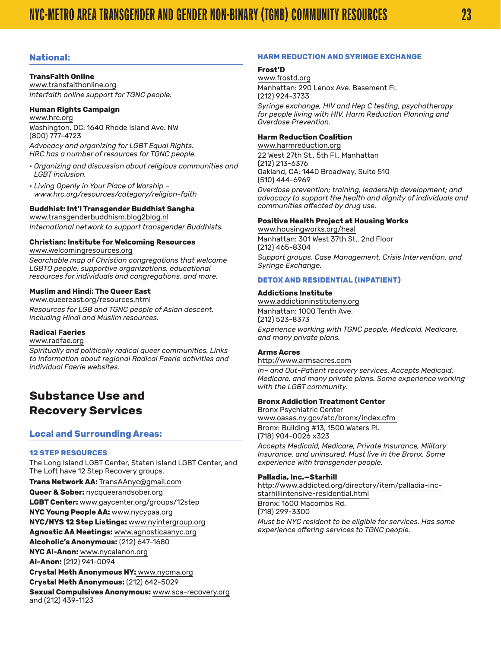#### <span id="page-22-0"></span>**National:**

#### **TransFaith Online**

[www.transfaithonline.org](http://www.transfaithonline.org/) *Interfaith online support for TGNC people.*

#### **Human Rights Campaign**

[www.hrc.org](http://www.hrc.org/) Washington, DC: 1640 Rhode Island Ave. NW (800) 777-4723

*Advocacy and organizing for LGBT Equal Rights. HRC has a number of resources for TGNC people.*

- *Organizing and discussion about religious communities and LGBT inclusion.*
- *Living Openly in Your Place of Worship [–](http://www.hrc.org/resources/category/religion-faith) [www.hrc.org/resources/category/religion-faith](http://www.hrc.org/resources/category/religion-faith)*

#### **Buddhist: Int'l Transgender Buddhist Sangha**

[www.transgenderbuddhism.blog2blog.nl](http://transgenderbuddhism.blog2blog.nl/) *International network to support transgender Buddhists.*

## **Christian: Institute for Welcoming Resources**

[www.welcomingresources.org](http://www.welcomingresources.org/)

*Searchable map of Christian congregations that welcome LGBTQ people, supportive organizations, educational resources for individuals and congregations, and more.*

#### **Muslim and Hindi: The Queer East**

[www.queereast.org/resources.html](http://www.queereast.org/resources.html) *Resources for LGB and TGNC people of Asian descent, including Hindi and Muslim resources.*

#### **Radical Faeries**

[www.radfae.org](http://www.radfae.org/)

*Spiritually and politically radical queer communities. Links to information about regional Radical Faerie activities and individual Faerie websites.*

## **Substance Use and Recovery Services**

#### **Local and Surrounding Areas:**

#### **12 STEP RESOURCES**

The Long Island LGBT Center, Staten Island LGBT Center, and The Loft have 12 Step Recovery groups.

**Trans Network AA:** [TransAAnyc@gmail.com](mailto:TransAAnyc@gmail.com)

**Queer & Sober:** [nycqueerandsober.org](http://nycqueerandsober.org/)

**LGBT Center:** [www.gaycenter.org/groups/12step](http://www.gaycenter.org/groups/12step)

**NYC Young People AA:** [www.nycypaa.org](http://www.nycypaa.org/)

**NYC/NYS 12 Step Listings:** [www.nyintergroup.org](http://www.nyintergroup.org/)

**Agnostic AA Meetings:** [www.agnosticaanyc.org](http://www.agnosticaanyc.org/)

**Alcoholic's Anonymous:** (212) 647-1680

**NYC Al-Anon:** [www.nycalanon.org](http://www.nycalanon.org/)

**Al-Anon:** (212) 941-0094

**Crystal Meth Anonymous NY:** [www.nycma.org](http://www.nycma.org/)

**Crystal Meth Anonymous:** (212) 642-5029

**Sexual Compulsives Anonymous:** [www.sca-recovery.org](http://www.sca-recovery.org/) and (212) 439-1123

#### **HARM REDUCTION AND SYRINGE EXCHANGE**

#### **Frost'D**

[www.frostd.org](http://www.frostd.org/) Manhattan: 290 Lenox Ave. Basement Fl. (212) 924-3733

*Syringe exchange, HIV and Hep C testing, psychotherapy for people living with HIV, Harm Reduction Planning and Overdose Prevention.*

#### **Harm Reduction Coalition**

[www.harmreduction.org](http://harmreduction.org/) 22 West 27th St., 5th Fl., Manhattan (212) 213-6376 Oakland, CA: 1440 Broadway, Suite 510 (510) 444-6969

*Overdose prevention; training, leadership development; and advocacy to support the health and dignity of individuals and communities affected by drug use.*

#### **Positive Health Project at Housing Works**

[www.housingworks.org/heal](http://www.housingworks.org/heal) Manhattan: 301 West 37th St., 2nd Floor (212) 465-8304 *Support groups, Case Management, Crisis Intervention, and Syringe Exchange.*

#### **DETOX AND RESIDENTIAL (INPATIENT)**

#### **Addictions Institute**

[www.addictioninstituteny.org](http://www.addictioninstituteny.org/) Manhattan: 1000 Tenth Ave. (212) 523-8373 *Experience working with TGNC people. Medicaid, Medicare, and many private plans.*

#### **Arms Acres**

[http://www.armsacres.com](http://www.armsacres.com/) *In– and Out-Patient recovery services. Accepts Medicaid, Medicare, and many private plans. Some experience working with the LGBT community.*

#### **Bronx Addiction Treatment Center**

Bronx Psychiatric Center [www.oasas.ny.gov/atc/bronx/index.cfm](http://www.oasas.ny.gov/atc/bronx/index.cfm) Bronx: Building #13, 1500 Waters Pl. (718) 904-0026 x323

*Accepts Medicaid, Medicare, Private Insurance, Military Insurance, and uninsured. Must live in the Bronx. Some experience with transgender people.*

#### **Palladia, Inc.—Starhill**

[http://www.addicted.org/directory/item/palladia-inc](http://www.addicted.org/directory/item/palladia-inc-starhillintensive-residential.html)[starhillintensive-residential.html](http://www.addicted.org/directory/item/palladia-inc-starhillintensive-residential.html)

Bronx: 1600 Macombs Rd. (718) 299-3300

*Must be NYC resident to be eligible for services. Has some experience offering services to TGNC people.*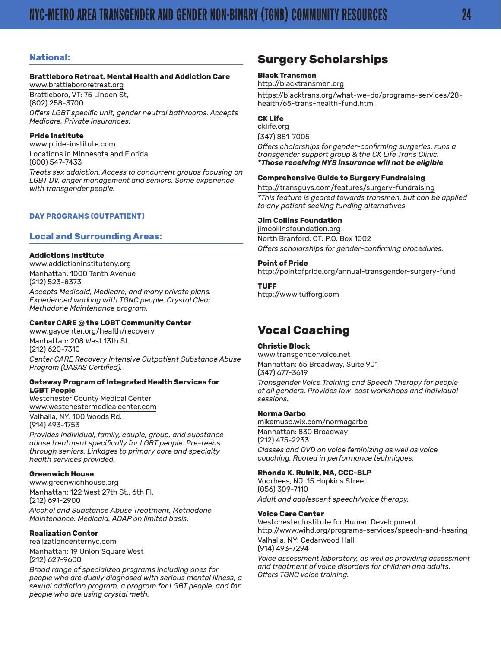#### <span id="page-23-0"></span>**National:**

#### **Brattleboro Retreat, Mental Health and Addiction Care**

[www.brattlebororetreat.org](http://www.brattlebororetreat.org/) Brattleboro, VT: 75 Linden St, (802) 258-3700 *Offers LGBT specific unit, gender neutral bathrooms. Accepts Medicare, Private Insurances.*

#### **Pride Institute**

[www.pride-institute.com](http://www.pride-institute.com/) Locations in Minnesota and Florida (800) 547-7433

*Treats sex addiction. Access to concurrent groups focusing on LGBT DV, anger management and seniors. Some experience with transgender people.*

#### **DAY PROGRAMS (OUTPATIENT)**

#### **Local and Surrounding Areas:**

#### **Addictions Institute**

[www.addictioninstituteny.org](http://www.addictioninstituteny.org/) Manhattan: 1000 Tenth Avenue (212) 523-8373

*Accepts Medicaid, Medicare, and many private plans. Experienced working with TGNC people. Crystal Clear Methadone Maintenance program.*

#### **Center CARE @ the LGBT Community Center**

[www.gaycenter.org/health/recovery](http://www.gaycenter.org/health/recovery) Manhattan: 208 West 13th St. (212) 620-7310 *Center CARE Recovery Intensive Outpatient Substance Abuse* 

#### **Gateway Program of Integrated Health Services for LGBT People**

Westchester County Medical Center [www.westchestermedicalcenter.com](http://www.westchestermedicalcenter.com) Valhalla, NY: 100 Woods Rd. (914) 493-1753

*Program (OASAS Certified).*

*Provides individual, family, couple, group, and substance abuse treatment specifically for LGBT people. Pre-teens through seniors. Linkages to primary care and specialty health services provided.*

#### **Greenwich House**

[www.greenwichhouse.org](http://www.greenwichhouse.org/) Manhattan: 122 West 27th St., 6th Fl. (212) 691-2900 *Alcohol and Substance Abuse Treatment, Methadone Maintenance. Medicaid, ADAP on limited basis.*

#### **Realization Center**

[realizationcenternyc.com](http://realizationcenternyc.com/) Manhattan: 19 Union Square West (212) 627-9600

*Broad range of specialized programs including ones for people who are dually diagnosed with serious mental illness, a sexual addiction program, a program for LGBT people, and for people who are using crystal meth.*

## **Surgery Scholarships**

#### **Black Transmen**

http://blacktransmen.org

https://blacktrans.org/what-we-do/programs-services/28 health/65-trans-health-fund.html

#### **CK Life**

[cklife.org](http://cklife.org/) (347) 881-7005

*Offers cholarships for gender-confirming surgeries, runs a transgender support group & the CK Life Trans Clinic. \*Those receiving NYS insurance will not be eligible*

#### **Comprehensive Guide to Surgery Fundraising**

http://transguys.com/features/surgery-fundraising *\*This feature is geared towards transmen, but can be applied to any patient seeking funding alternatives*

#### **Jim Collins Foundation**

[jimcollinsfoundation.org](http://jimcollinsfoundation.org/) North Branford, CT: P.O. Box 1002 *Offers scholarships for gender-confirming procedures.*

#### **Point of Pride**

http://pointofpride.org/annual-transgender-surgery-fund

#### **TUFF**

http://www.tufforg.com

## **Vocal Coaching**

#### **Christie Block**

[www.transgendervoice.net](http://www.transgendervoice.net/) Manhattan: 65 Broadway, Suite 901 (347) 677-3619

*Transgender Voice Training and Speech Therapy for people of all genders. Provides low-cost workshops and individual sessions.*

#### **Norma Garbo**

[mikemusc.wix.com/normagarbo](http://mikemusc.wix.com/normagarbo) Manhattan: 830 Broadway (212) 475-2233 *Classes and DVD on voice feminizing as well as voice coaching. Rooted in performance techniques.*

#### **Rhonda K. Rulnik, MA, CCC-SLP**

Voorhees, NJ: 15 Hopkins Street (856) 309-7110 *Adult and adolescent speech/voice therapy.*

#### **Voice Care Center**

Westchester Institute for Human Development [http://www.wihd.org/programs-services/speech-and-hearing](http://www.wihd.org/programs-services/speech-and-hearing/) Valhalla, NY: Cedarwood Hall

(914) 493-7294 *Voice assessment laboratory, as well as providing assessment and treatment of voice disorders for children and adults. Offers TGNC voice training.*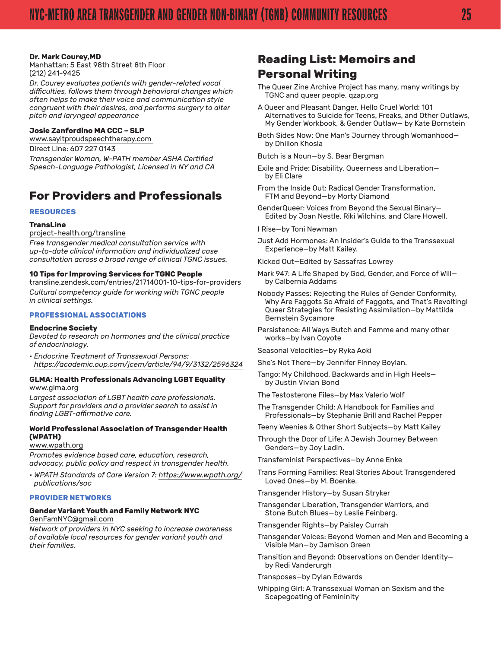#### <span id="page-24-0"></span>**Dr. Mark Courey,MD**

Manhattan: 5 East 98th Street 8th Floor (212) 241-9425

*Dr. Courey evaluates patients with gender-related vocal difficulties, follows them through behavioral changes which often helps to make their voice and communication style congruent with their desires, and performs surgery to alter pitch and laryngeal appearance*

#### **Josie Zanfordino MA CCC – SLP**

www.sayitproudspeechtherapy.com

Direct Line: 607 227 0143 *Transgender Woman, W-PATH member ASHA Certified Speech-Language Pathologist, Licensed in NY and CA*

## **For Providers and Professionals**

#### **RESOURCES**

#### **TransLine**

[project-health.org/transline](http://project-health.org/transline/)

*Free transgender medical consultation service with up-to-date clinical information and individualized case consultation across a broad range of clinical TGNC issues.*

#### **10 Tips for Improving Services for TGNC Peopl[e](https://transline.zendesk.com/entries/21714001-10-tips-for-providers)**

[transline.zendesk.com/entries/21714001-10-tips-for-providers](https://transline.zendesk.com/entries/21714001-10-tips-for-providers) *Cultural competency guide for working with TGNC people in clinical settings.*

#### **PROFESSIONAL ASSOCIATIONS**

#### **Endocrine Society**

*Devoted to research on hormones and the clinical practice of endocrinology.*

*• Endocrine Treatment of Transsexual Persons: <https://academic.oup.com/jcem/article/94/9/3132/2596324>*

#### **GLMA: Health Professionals Advancing LGBT Equality** [www.glma.org](http://www.glma.org/)

*Largest association of LGBT health care professionals. Support for providers and a provider search to assist in finding LGBT-affirmative care.*

#### **World Professional Association of Transgender Health (WPATH)**

#### [www.wpath.org](http://www.wpath.org/)

*Promotes evidence based care, education, research, advocacy, public policy and respect in transgender health.*

*• WPATH Standards of Care Version 7: [https://www.wpath.org/](https://www.wpath.org/publications/soc) [publications/soc](https://www.wpath.org/publications/soc)*

#### **PROVIDER NETWORKS**

#### **Gender Variant Youth and Family Network NYC** [GenFamNYC@gmail.com](mailto:GenFamNYC@gmail.com)

*Network of providers in NYC seeking to increase awareness of available local resources for gender variant youth and their families.*

## **Reading List: Memoirs and Personal Writing**

- The Queer Zine Archive Project has many, many writings by TGNC and queer people. [qzap.org](http://www.qzap.org/)
- A Queer and Pleasant Danger, Hello Cruel World: 101 Alternatives to Suicide for Teens, Freaks, and Other Outlaws, My Gender Workbook, & Gender Outlaw— by Kate Bornstein
- Both Sides Now: One Man's Journey through Womanhood by Dhillon Khosla

Butch is a Noun—by S. Bear Bergman

- Exile and Pride: Disability, Queerness and Liberation by Eli Clare
- From the Inside Out: Radical Gender Transformation, FTM and Beyond—by Morty Diamond
- GenderQueer: Voices from Beyond the Sexual Binary— Edited by Joan Nestle, Riki Wilchins, and Clare Howell.

I Rise—by Toni Newman

Just Add Hormones: An Insider's Guide to the Transsexual Experience—by Matt Kailey.

Kicked Out—Edited by Sassafras Lowrey

- Mark 947: A Life Shaped by God, Gender, and Force of Will by Calbernia Addams
- Nobody Passes: Rejecting the Rules of Gender Conformity, Why Are Faggots So Afraid of Faggots, and That's Revolting! Queer Strategies for Resisting Assimilation—by Mattilda Bernstein Sycamore
- Persistence: All Ways Butch and Femme and many other works—by Ivan Coyote
- Seasonal Velocities—by Ryka Aoki
- She's Not There—by Jennifer Finney Boylan.
- Tango: My Childhood, Backwards and in High Heels by Justin Vivian Bond
- The Testosterone Files—by Max Valerio Wolf
- The Transgender Child: A Handbook for Families and Professionals—by Stephanie Brill and Rachel Pepper
- Teeny Weenies & Other Short Subjects—by Matt Kailey
- Through the Door of Life: A Jewish Journey Between Genders—by Joy Ladin.
- Transfeminist Perspectives—by Anne Enke
- Trans Forming Families: Real Stories About Transgendered Loved Ones—by M. Boenke.
- Transgender History—by Susan Stryker
- Transgender Liberation, Transgender Warriors, and Stone Butch Blues—by Leslie Feinberg.
- Transgender Rights—by Paisley Currah
- Transgender Voices: Beyond Women and Men and Becoming a Visible Man—by Jamison Green
- Transition and Beyond: Observations on Gender Identity by Redi Vanderurgh
- Transposes—by Dylan Edwards
- Whipping Girl: A Transsexual Woman on Sexism and the Scapegoating of Femininity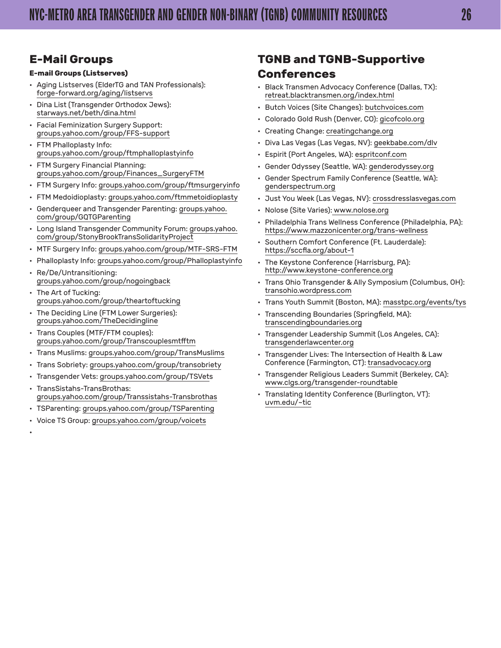## <span id="page-25-0"></span>**E-Mail Groups**

#### **E-mail Groups (Listserves)**

- Aging Listserves (ElderTG and TAN Professionals): [forge-forward.org/aging/listservs](http://forge-forward.org/aging/listservs/)
- Dina List (Transgender Orthodox Jews): [starways.net/beth/dina.html](http://www.starways.net/beth/dina.html)
- Facial Feminization Surgery Support: [groups.yahoo.com/group/FFS-support](http://groups.yahoo.com/group/FFS-support)
- FTM Phalloplasty Info: [groups.yahoo.com/group/ftmphalloplastyinfo](http://groups.yahoo.com/group/ftmphalloplastyinfo)
- FTM Surgery Financial Planning: [groups.yahoo.com/group/Finances\\_SurgeryFTM](http://groups.yahoo.com/group/Finances_SurgeryFTM)
- FTM Surgery Info: [groups.yahoo.com/group/ftmsurgeryinfo](http://groups.yahoo.com/group/ftmsurgeryinfo)
- FTM Medoidioplasty: [groups.yahoo.com/ftmmetoidioplasty](http://www.groups.yahoo.com/ftmmetoidioplasty)
- Genderqueer and Transgender Parenting: [groups.yahoo.](http://groups.yahoo.com/group/GQTGParenting/) [com/group/GQTGParenting](http://groups.yahoo.com/group/GQTGParenting/)
- Long Island Transgender Community Forum: [groups.yahoo.](http://groups.yahoo.com/group/StonyBrookTransSolidarityProject/) [com/group/StonyBrookTransSolidarityProject](http://groups.yahoo.com/group/StonyBrookTransSolidarityProject/)
- MTF Surgery Info: [groups.yahoo.com/group/MTF-SRS-FTM](http://groups.yahoo.com/group/MTF-SRS-FTM)
- Phalloplasty Info: [groups.yahoo.com/group/Phalloplastyinfo](http://groups.yahoo.com/group/Phalloplastyinfo)
- Re/De/Untransitioning: [groups.yahoo.com/group/nogoingback](http://groups.yahoo.com/group/nogoingback)
- The Art of Tucking: [groups.yahoo.com/group/theartoftucking](http://groups.yahoo.com/group/theartoftucking)
- The Deciding Line (FTM Lower Surgeries): [groups.yahoo.com/TheDecidingline](http://www.groups.yahoo.com/TheDecidingline)
- Trans Couples (MTF/FTM couples): [groups.yahoo.com/group/Transcouplesmtfftm](http://groups.yahoo.com/group/Transcouplesmtfftm)
- Trans Muslims: [groups.yahoo.com/group/TransMuslims](http://groups.yahoo.com/group/TransMuslims/)
- Trans Sobriety: [groups.yahoo.com/group/transobriety](http://groups.yahoo.com/group/transobriety)
- Transgender Vets: [groups.yahoo.com/group/TSVets](http://groups.yahoo.com/group/TSVets) • TransSistahs-TransBrothas:
- [groups.yahoo.com/group/Transsistahs-Transbrothas](http://groups.yahoo.com/group/Transsistahs-Transbrothas)
- TSParenting: [groups.yahoo.com/group/TSParenting](http://groups.yahoo.com/group/TSParenting)
- Voice TS Group: [groups.yahoo.com/group/voicets](http://groups.yahoo.com/group/voicets)

•

## **TGNB and TGNB-Supportive Conferences**

- Black Transmen Advocacy Conference (Dallas, TX): [retreat.blacktransmen.org/index.html](http://retreat.blacktransmen.org/index.html)
- Butch Voices (Site Changes): [butchvoices.com](http://www.butchvoices.com/)
- Colorado Gold Rush (Denver, CO): [gicofcolo.org](http://gicofcolo.org/)
- Creating Change: [creatingchange.org](http://www.creatingchange.org/)
- Diva Las Vegas (Las Vegas, NV): [geekbabe.com/dlv](http://www.geekbabe.com/dlv/)
- Espirit (Port Angeles, WA): [espritconf.com](http://www.espritconf.com)
- Gender Odyssey (Seattle, WA): [genderodyssey.org](http://www.genderodyssey.org/)
- Gender Spectrum Family Conference (Seattle, WA): [genderspectrum.org](http://www.genderspectrum.org/)
- Just You Week (Las Vegas, NV): [crossdresslasvegas.com](http://www.crossdresslasvegas.com/)
- Nolose (Site Varies): [www.nolose.org](http://www.nolose.org/)
- Philadelphia Trans Wellness Conference (Philadelphia, PA): <https://www.mazzonicenter.org/trans-wellness>
- Southern Comfort Conference (Ft. Lauderdale): [https://sccfla.org/about-1](https://sccfla.org/about-1/)
- The Keystone Conference (Harrisburg, PA): [http://www.keystone-conference.org](http://www.keystone-conference.org/)
- Trans Ohio Transgender & Ally Symposium (Columbus, OH): [transohio.wordpress.com](http://transohio.wordpress.com/)
- Trans Youth Summit (Boston, MA): [masstpc.org/events/tys](http://www.masstpc.org/events/tys/)
- Transcending Boundaries (Springfield, MA): [transcendingboundaries.org](http://www.transcendingboundaries.org/)
- Transgender Leadership Summit (Los Angeles, CA): [transgenderlawcenter.org](http://www.transgenderlawcenter.org/)
- Transgender Lives: The Intersection of Health & Law Conference (Farmington, CT): [transadvocacy.org](http://www.transadvocacy.org/)
- Transgender Religious Leaders Summit (Berkeley, CA): [www.clgs.org/transgender-roundtable](http://www.clgs.org/transgender-roundtable)
- Translating Identity Conference (Burlington, VT): [uvm.edu/~tic](http://www.uvm.edu/%7Etic/)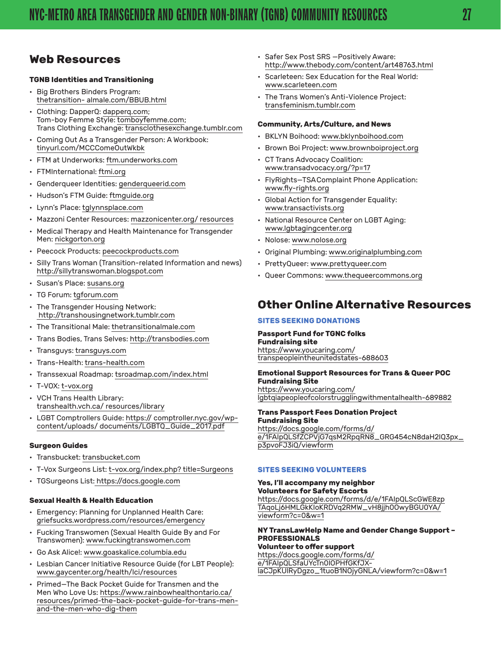## <span id="page-26-0"></span>**Web Resources**

#### **TGNB Identities and Transitioning**

- Big Brothers Binders Program: [thetransition- almale.com/BBUB.html](http://www.thetransitionalmale.com/BBUB.html)
- Clothing: DapperQ: [dapperq.com](http://www.dapperq.com/); Tom-boy Femme Style: [tomboyfemme.com;](http://tomboyfemme.com/)  Trans Clothing Exchange: [transclothesexchange.tumblr.com](http://transclothesexchange.tumblr.com)
- Coming Out As a Transgender Person: A Workbook: [tinyurl.com/MCCComeOutWkbk](http://tinyurl.com/MCCComeOutWkbk)
- FTM at Underworks: [ftm.underworks.com](http://ftm.underworks.com/)
- FTMInternational: [ftmi.org](http://www.ftmi.org/)
- Genderqueer Identities: [genderqueerid.com](http://genderqueerid.com/)
- Hudson's FTM Guide: [ftmguide.org](http://ftmguide.org/)
- Lynn's Place: [tglynnsplace.com](http://www.tglynnsplace.com/)
- Mazzoni Center Resources: [mazzonicenter.org/ resources](http://mazzonicenter.org/resources)
- Medical Therapy and Health Maintenance for Transgender Men: [nickgorton.org](http://www.nickgorton.org/)
- Peecock Products: [peecockproducts.com](http://www.peecockproducts.com/)
- Silly Trans Woman (Transition-related Information and news) [http://sillytranswoman.blogspot.com](http://sillytranswoman.blogspot.com/)
- Susan's Place: [susans.org](http://www.susans.org/)
- TG Forum: [tgforum.com](http://www.tgforum.com/)
- The Transgender Housing Network: [http://transhousingnetwork.tumblr.com](http://transhousingnetwork.tumblr.com/)
- The Transitional Male: [thetransitionalmale.com](http://www.thetransitionalmale.com/)
- Trans Bodies, Trans Selves: [http://transbodies.com](http://transbodies.com/)
- Transguys: [transguys.com](http://transguys.com/)
- Trans-Health: [trans-health.com](http://trans-health.com/)
- Transsexual Roadmap: [tsroadmap.com/index.html](http://www.tsroadmap.com/index.html)
- T-VOX: [t-vox.org](http://www.t-vox.org/)
- VCH Trans Health Library: [transhealth.vch.ca/ resources/library](http://transhealth.vch.ca/resources/library/)
- LGBT Comptrollers Guide: https:// comptroller.nyc.gov/wpcontent/uploads/ documents/LGBTQ\_Guide\_2017.pdf

#### **Surgeon Guides**

- Transbucket: [transbucket.com](http://www.transbucket.com/)
- T-Vox Surgeons List: t-vox.org/index.php? title=Surgeons
- TGSurgeons List: [https://docs.google.com](https://docs.google.com/spreadsheet/lv?key=0ArDG_ya3-geydHEzcmJTd3NoajNFMUd5V0puUzFLelE&usp=sharing)

#### **Sexual Health & Health Education**

- Emergency: Planning for Unplanned Health Care: [griefsucks.wordpress.com/resources/emergency](http://griefsucks.wordpress.com/resources/emergency/)
- Fucking Transwomen (Sexual Health Guide By and For Transwomen): [www.fuckingtranswomen.com](http://www.fuckingtranswomen.com/)
- Go Ask Alice!: [www.goaskalice.columbia.edu](http://goaskalice.columbia.edu/)
- Lesbian Cancer Initiative Resource Guide (for LBT People): [www.gaycenter.org/health/lci/resources](http://www.gaycenter.org/health/lci/resources)
- Primed—The Back Pocket Guide for Transmen and the Men Who Love Us: [https://www.rainbowhealthontario.ca/](https://www.rainbowhealthontario.ca/resources/primed-the-back-pocket-guide-for-trans-men-and-the-men) [resources/primed-the-back-pocket-guide-for-trans-men](https://www.rainbowhealthontario.ca/resources/primed-the-back-pocket-guide-for-trans-men-and-the-men)[and-the-men-who-dig-them](https://www.rainbowhealthontario.ca/resources/primed-the-back-pocket-guide-for-trans-men-and-the-men)
- Safer Sex Post SRS —Positively Aware: <http://www.thebody.com/content/art48763.html>
- Scarleteen: Sex Education for the Real World[:](http://www.scarleteen.com/) [www.scarleteen.com](http://www.scarleteen.com/)
- The Trans Women's Anti-Violence Project: [transfeminism.tumblr.com](http://transfeminism.tumblr.com/)

#### **Community, Arts/Culture, and News**

- BKLYN Boihood: [www.bklynboihood.com](http://www.bklynboihood.com/)
- Brown Boi Project: [www.brownboiproject.org](http://brownboiproject.org/)
- CT Trans Advocacy Coalition: [www.transadvocacy.org/?p=17](http://www.transadvocacy.org/?p=17)
- FlyRights—TSAComplaint Phone Application: [www.fly-rights.org](http://fly-rights.org/)
- Global Action for Transgender Equality: [www.transactivists.org](http://transactivists.org/)
- National Resource Center on LGBT Aging[:](http://www.lgbtagingcenter.org/) [www.lgbtagingcenter.org](http://www.lgbtagingcenter.org/)
- Nolose: [www.nolose.org](http://www.nolose.org/)
- Original Plumbing: [www.originalplumbing.com](http://www.originalplumbing.com/)
- PrettyQueer: [www.prettyqueer.com](http://prettyqueer.tumblr.com)
- Queer Commons: [www.thequeercommons.org](https://thequeercommons.wordpress.com)

## **Other Online Alternative Resources**

#### **SITES SEEKING DONATIONS**

#### **Passport Fund for TGNC folks**

**Fundraising site** [https://www.youcaring.com/](https://www.youcaring.com/transpeopleintheunitedstates-688603) [transpeopleintheunitedstates-688603](https://www.youcaring.com/transpeopleintheunitedstates-688603)

#### **Emotional Support Resources for Trans & Queer POC Fundraising Site**

[https://www.youcaring.com/](https://www.youcaring.com/lgbtqiapeopleofcolorstrugglingwithmentalhealth-689882) [lgbtqiapeopleofcolorstrugglingwithmentalhealth-689882](https://www.youcaring.com/lgbtqiapeopleofcolorstrugglingwithmentalhealth-689882)

## **Trans Passport Fees Donation Project**

**Fundraising Site** [https://docs.google.com/forms/d/](https://docs.google.com/forms/d/e/1FAIpQLSfZCPVjG7qsM2RpqRN8_GRG454cN8daH2IQ3px_p3pvoFJ3iQ/viewform) [e/1FAIpQLSfZCPVjG7qsM2RpqRN8\\_GRG454cN8daH2IQ3px\\_](https://docs.google.com/forms/d/e/1FAIpQLSfZCPVjG7qsM2RpqRN8_GRG454cN8daH2IQ3px_p3pvoFJ3iQ/viewform) [p3pvoFJ3iQ/viewform](https://docs.google.com/forms/d/e/1FAIpQLSfZCPVjG7qsM2RpqRN8_GRG454cN8daH2IQ3px_p3pvoFJ3iQ/viewform)

#### **SITES SEEKING VOLUNTEERS**

#### **Yes, I'll accompany my neighbor Volunteers for Safety Escorts** [https://docs.google.com/forms/d/e/1FAIpQLScGWE8zp](https://docs.google.com/forms/d/e/1FAIpQLScGWE8zpTAqoLj6HMLGkKIoKRDVq2RMW_vH8jjh0OwyBGU0YA/viewform?) [TAqoLj6HMLGkKIoKRDVq2RMW\\_vH8jjh0OwyBGU0YA/](https://docs.google.com/forms/d/e/1FAIpQLScGWE8zpTAqoLj6HMLGkKIoKRDVq2RMW_vH8jjh0OwyBGU0YA/viewform?) [viewform?c=0&w=1](https://docs.google.com/forms/d/e/1FAIpQLScGWE8zpTAqoLj6HMLGkKIoKRDVq2RMW_vH8jjh0OwyBGU0YA/viewform?)

#### **NY TransLawHelp Name and Gender Change Support – PROFESSIONALS**

**Volunteer to offer support** [https://docs.google.com/forms/d/](https://docs.google.com/forms/d/e/1FAIpQLSfaUYcTn0IOPHfGKfJX-laCJpKUlRyDgzo_1tuoB1NOjyGNLA/viewform?) [e/1FAIpQLSfaUYcTn0IOPHfGKfJX](https://docs.google.com/forms/d/e/1FAIpQLSfaUYcTn0IOPHfGKfJX-laCJpKUlRyDgzo_1tuoB1NOjyGNLA/viewform?)[laCJpKUlRyDgzo\\_1tuoB1NOjyGNLA/viewform?c=0&w=1](https://docs.google.com/forms/d/e/1FAIpQLSfaUYcTn0IOPHfGKfJX-laCJpKUlRyDgzo_1tuoB1NOjyGNLA/viewform?)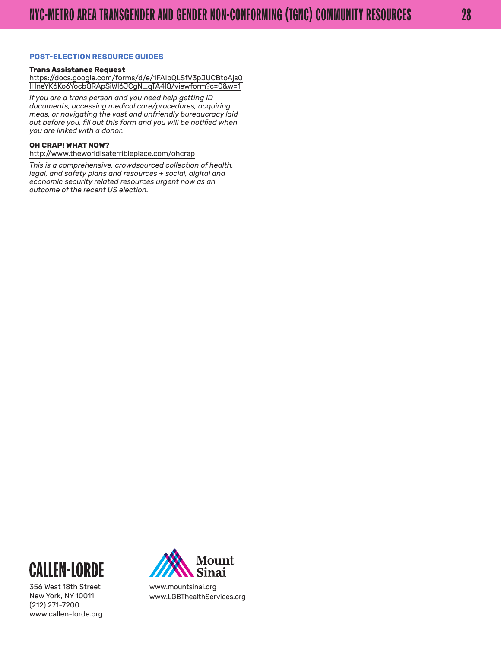#### **POST-ELECTION RESOURCE GUIDES**

#### **Trans Assistance Request**

[https://docs.google.com/forms/d/e/1FAIpQLSfV3pJUCBtoAjs0](https://docs.google.com/forms/d/e/1FAIpQLSfV3pJUCBtoAjs0lHneYK6Ko6YocbQRApSiWI6JCgN_qTA4lQ/viewform?) [lHneYK6Ko6YocbQRApSiWI6JCgN\\_qTA4lQ/viewform?c=0&w=1](https://docs.google.com/forms/d/e/1FAIpQLSfV3pJUCBtoAjs0lHneYK6Ko6YocbQRApSiWI6JCgN_qTA4lQ/viewform?)

*If you are a trans person and you need help getting ID documents, accessing medical care/procedures, acquiring meds, or navigating the vast and unfriendly bureaucracy laid out before you, fill out this form and you will be notified when you are linked with a donor.*

#### **OH CRAP! WHAT NOW?**

[http://www.theworldisaterribleplace.com/ohcrap](http://www.theworldisaterribleplace.com/ohcrap/)

*This is a comprehensive, crowdsourced collection of health, legal, and safety plans and resources + social, digital and economic security related resources urgent now as an outcome of the recent US election.*



356 West 18th Street New York, NY 10011 (212) 271-7200 [www.callen-lorde.org](http://www.callen-lorde.org/)



[www.mountsinai.org](http://www.mountsinai.org/) [www.LGBThealthServices.org](http://www.LGBThealthServices.org/)